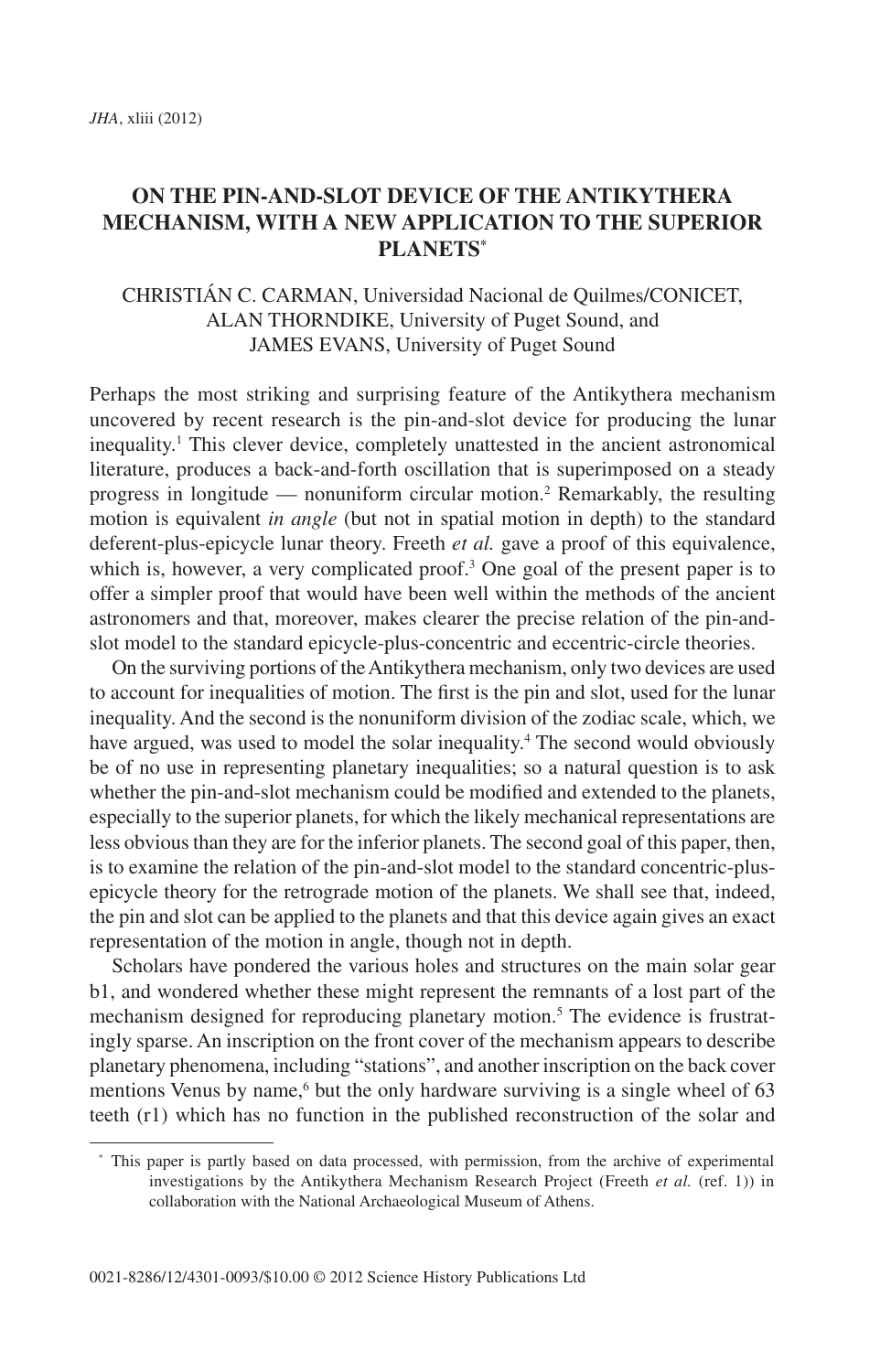# ON THE PIN-AND-SLOT DEVICE OF THE ANTIKYTHERA MECHANISM, WITH A NEW APPLICATION TO THE SUPERIOR **PLANETS\***

# CHRISTIÁN C. CARMAN, Universidad Nacional de Quilmes/CONICET, ALAN THORNDIKE, University of Puget Sound, and JAMES EVANS, University of Puget Sound

Perhaps the most striking and surprising feature of the Antikythera mechanism uncovered by recent research is the pin-and-slot device for producing the lunar inequality.<sup>1</sup> This clever device, completely unattested in the ancient astronomical literature, produces a back-and-forth oscillation that is superimposed on a steady progress in longitude — nonuniform circular motion.<sup>2</sup> Remarkably, the resulting motion is equivalent in angle (but not in spatial motion in depth) to the standard deferent-plus-epicycle lunar theory. Freeth et al. gave a proof of this equivalence, which is, however, a very complicated proof.<sup>3</sup> One goal of the present paper is to offer a simpler proof that would have been well within the methods of the ancient astronomers and that, moreover, makes clearer the precise relation of the pin-andslot model to the standard epicycle-plus-concentric and eccentric-circle theories.

On the surviving portions of the Antikythera mechanism, only two devices are used to account for inequalities of motion. The first is the pin and slot, used for the lunar inequality. And the second is the nonuniform division of the zodiac scale, which, we have argued, was used to model the solar inequality.<sup>4</sup> The second would obviously be of no use in representing planetary inequalities; so a natural question is to ask whether the pin-and-slot mechanism could be modified and extended to the planets. especially to the superior planets, for which the likely mechanical representations are less obvious than they are for the inferior planets. The second goal of this paper, then, is to examine the relation of the pin-and-slot model to the standard concentric-plusepicycle theory for the retrograde motion of the planets. We shall see that, indeed, the pin and slot can be applied to the planets and that this device again gives an exact representation of the motion in angle, though not in depth.

Scholars have pondered the various holes and structures on the main solar gear b1, and wondered whether these might represent the remnants of a lost part of the mechanism designed for reproducing planetary motion.<sup>5</sup> The evidence is frustratingly sparse. An inscription on the front cover of the mechanism appears to describe planetary phenomena, including "stations", and another inscription on the back cover mentions Venus by name,<sup>6</sup> but the only hardware surviving is a single wheel of 63 teeth (r1) which has no function in the published reconstruction of the solar and

<sup>\*</sup> This paper is partly based on data processed, with permission, from the archive of experimental investigations by the Antikythera Mechanism Research Project (Freeth et al. (ref. 1)) in collaboration with the National Archaeological Museum of Athens.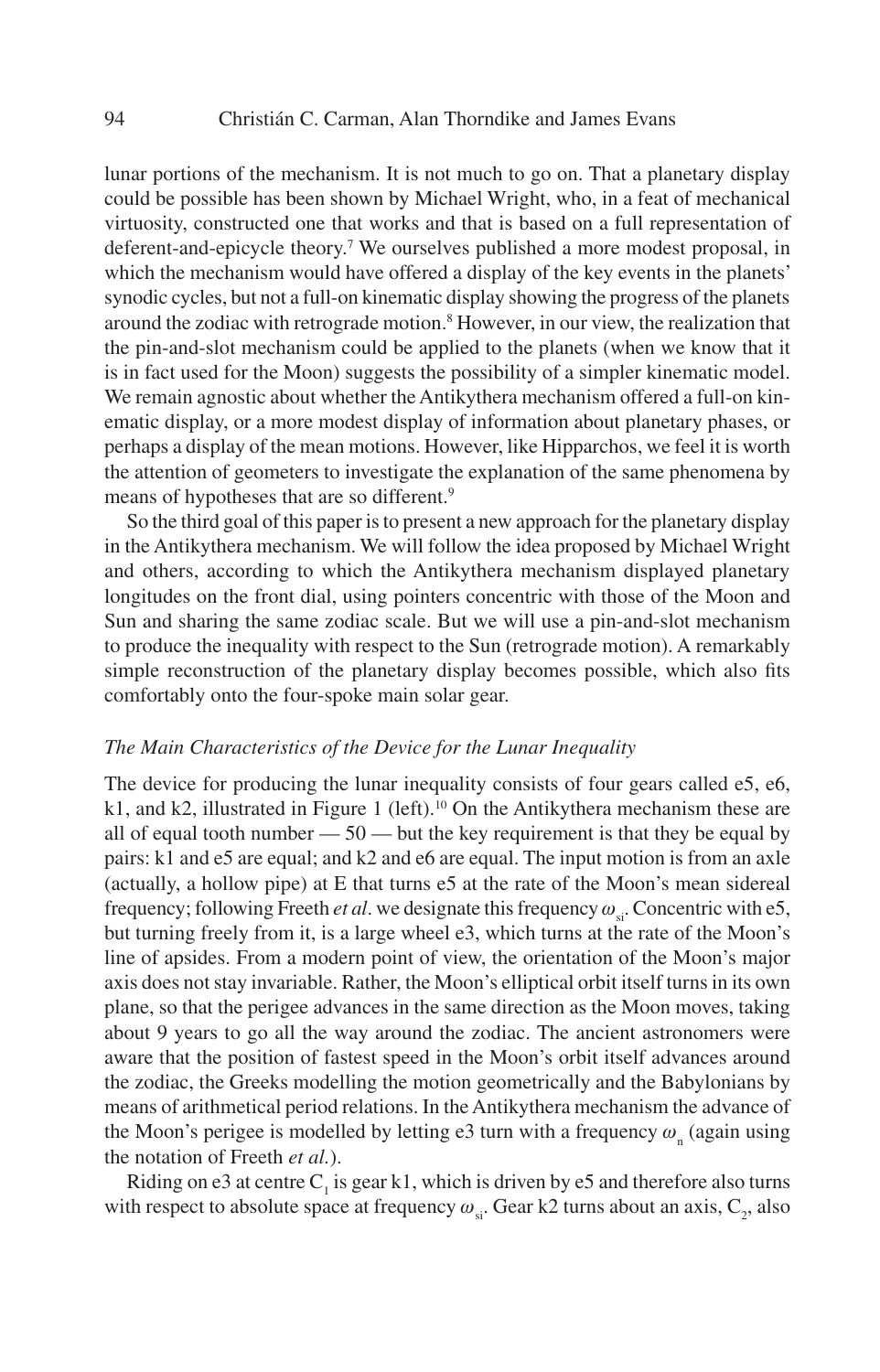lunar portions of the mechanism. It is not much to go on. That a planetary display could be possible has been shown by Michael Wright, who, in a feat of mechanical virtuosity, constructed one that works and that is based on a full representation of deferent-and-epicycle theory.<sup>7</sup> We ourselves published a more modest proposal, in which the mechanism would have offered a display of the key events in the planets' synodic cycles, but not a full-on kinematic display showing the progress of the planets around the zodiac with retrograde motion.<sup>8</sup> However, in our view, the realization that the pin-and-slot mechanism could be applied to the planets (when we know that it is in fact used for the Moon) suggests the possibility of a simpler kinematic model. We remain agnostic about whether the Antikythera mechanism offered a full-on kinematic display, or a more modest display of information about planetary phases, or perhaps a display of the mean motions. However, like Hipparchos, we feel it is worth the attention of geometers to investigate the explanation of the same phenomena by means of hypotheses that are so different.<sup>9</sup>

So the third goal of this paper is to present a new approach for the planetary display in the Antikythera mechanism. We will follow the idea proposed by Michael Wright and others, according to which the Antikythera mechanism displayed planetary longitudes on the front dial, using pointers concentric with those of the Moon and Sun and sharing the same zodiac scale. But we will use a pin-and-slot mechanism to produce the inequality with respect to the Sun (retrograde motion). A remarkably simple reconstruction of the planetary display becomes possible, which also fits comfortably onto the four-spoke main solar gear.

### The Main Characteristics of the Device for the Lunar Inequality

The device for producing the lunar inequality consists of four gears called e5, e6, k1, and k2, illustrated in Figure 1 (left).<sup>10</sup> On the Antikythera mechanism these are all of equal tooth number  $-50$  — but the key requirement is that they be equal by pairs: k1 and e5 are equal; and k2 and e6 are equal. The input motion is from an axle (actually, a hollow pipe) at E that turns e5 at the rate of the Moon's mean sidereal frequency; following Freeth *et al.* we designate this frequency  $\omega$ <sub>a</sub>. Concentric with e5, but turning freely from it, is a large wheel e3, which turns at the rate of the Moon's line of apsides. From a modern point of view, the orientation of the Moon's major axis does not stay invariable. Rather, the Moon's elliptical orbit itself turns in its own plane, so that the perigee advances in the same direction as the Moon moves, taking about 9 years to go all the way around the zodiac. The ancient astronomers were aware that the position of fastest speed in the Moon's orbit itself advances around the zodiac, the Greeks modelling the motion geometrically and the Babylonians by means of arithmetical period relations. In the Antikythera mechanism the advance of the Moon's perigee is modelled by letting e3 turn with a frequency  $\omega_{n}$  (again using the notation of Freeth et al.).

Riding on e3 at centre  $C_i$  is gear k1, which is driven by e5 and therefore also turns with respect to absolute space at frequency  $\omega$ . Gear k2 turns about an axis, C<sub>2</sub>, also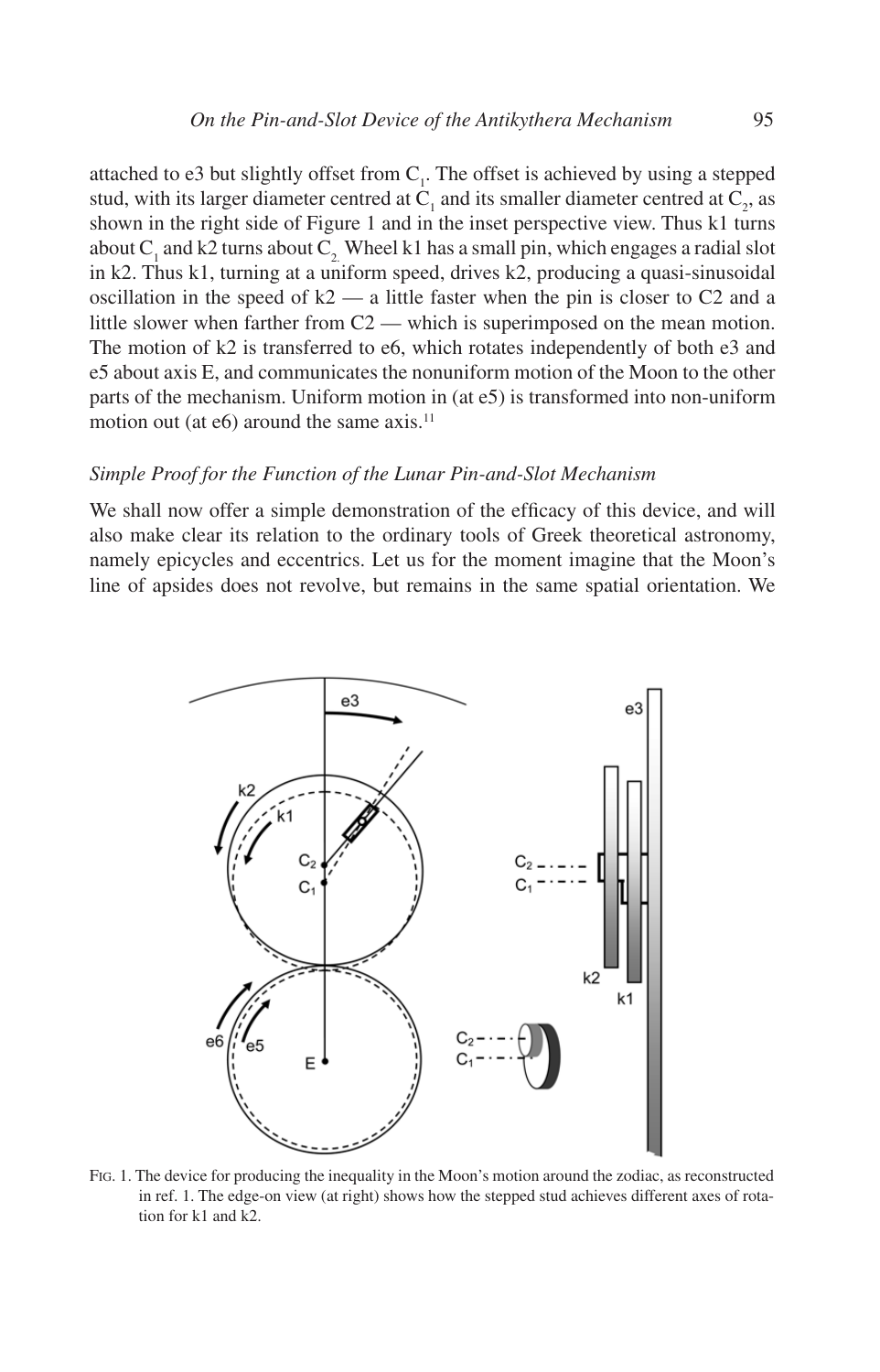attached to e3 but slightly offset from C<sub>1</sub>. The offset is achieved by using a stepped stud, with its larger diameter centred at  $\dot{C}_1$  and its smaller diameter centred at  $C_2$ , as shown in the right side of Figure 1 and in the inset perspective view. Thus k1 turns about  $C_1$  and k2 turns about  $C_2$ . Wheel k1 has a small pin, which engages a radial slot in k2. Thus k1, turning at a uniform speed, drives k2, producing a quasi-sinusoidal oscillation in the speed of  $k2 - a$  little faster when the pin is closer to C2 and a little slower when farther from  $C2$  — which is superimposed on the mean motion. The motion of k2 is transferred to e6, which rotates independently of both e3 and e5 about axis E, and communicates the nonuniform motion of the Moon to the other parts of the mechanism. Uniform motion in (at e5) is transformed into non-uniform motion out (at  $e6$ ) around the same axis.<sup>11</sup>

#### Simple Proof for the Function of the Lunar Pin-and-Slot Mechanism

We shall now offer a simple demonstration of the efficacy of this device, and will also make clear its relation to the ordinary tools of Greek theoretical astronomy, namely epicycles and eccentrics. Let us for the moment imagine that the Moon's line of apsides does not revolve, but remains in the same spatial orientation. We



FIG. 1. The device for producing the inequality in the Moon's motion around the zodiac, as reconstructed in ref. 1. The edge-on view (at right) shows how the stepped stud achieves different axes of rotation for k1 and k2.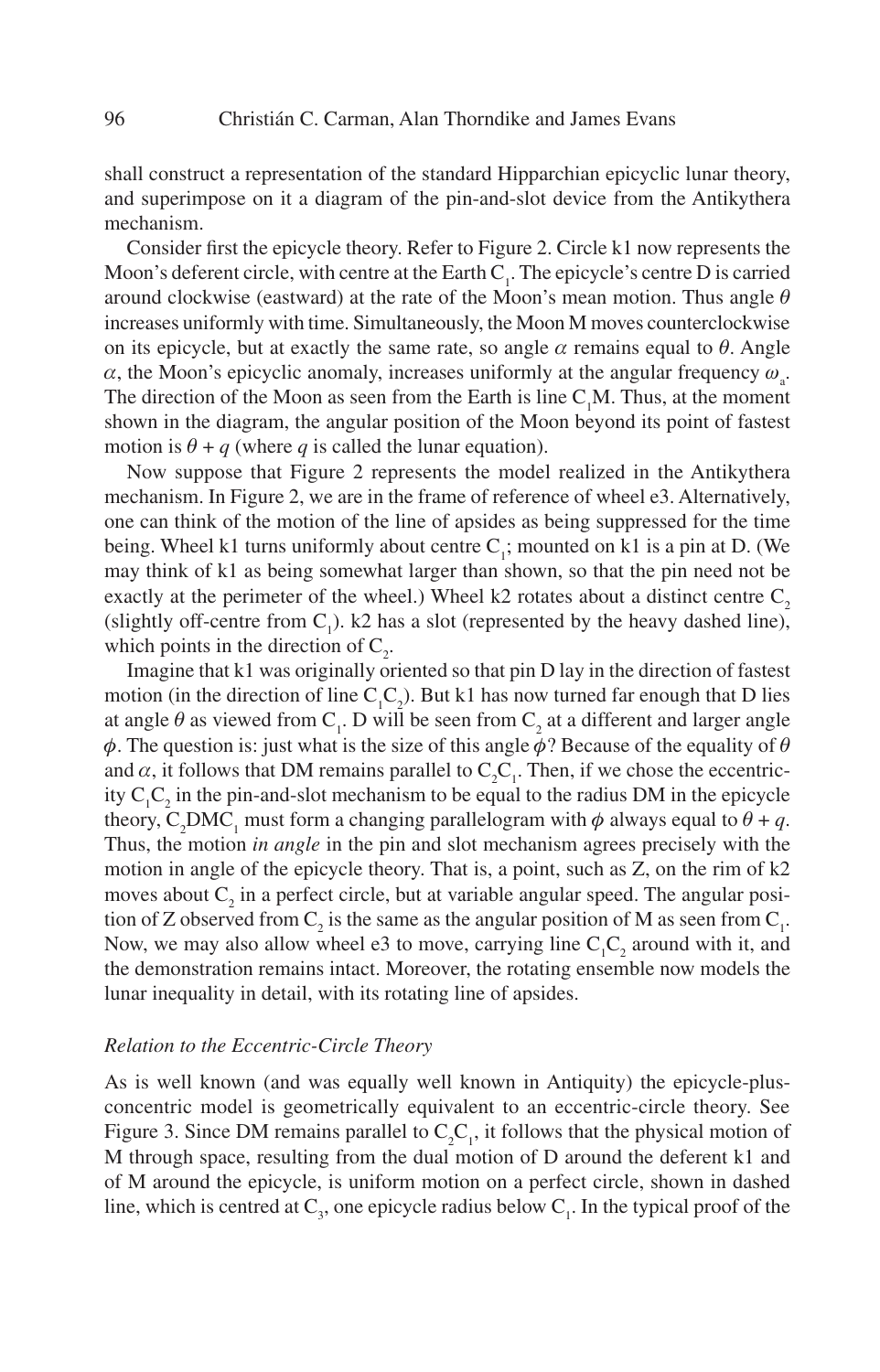shall construct a representation of the standard Hipparchian epicyclic lunar theory, and superimpose on it a diagram of the pin-and-slot device from the Antikythera mechanism.

Consider first the epicycle theory. Refer to Figure 2. Circle k1 now represents the Moon's deferent circle, with centre at the Earth C<sub>1</sub>. The epicycle's centre D is carried around clockwise (eastward) at the rate of the Moon's mean motion. Thus angle  $\theta$ increases uniformly with time. Simultaneously, the Moon M moves counterclockwise on its epicycle, but at exactly the same rate, so angle  $\alpha$  remains equal to  $\theta$ . Angle  $\alpha$ , the Moon's epicyclic anomaly, increases uniformly at the angular frequency  $\omega$ . The direction of the Moon as seen from the Earth is line  $C<sub>i</sub>M$ . Thus, at the moment shown in the diagram, the angular position of the Moon beyond its point of fastest motion is  $\theta + q$  (where q is called the lunar equation).

Now suppose that Figure 2 represents the model realized in the Antikythera mechanism. In Figure 2, we are in the frame of reference of wheel e3. Alternatively, one can think of the motion of the line of apsides as being suppressed for the time being. Wheel k1 turns uniformly about centre  $C_i$ ; mounted on k1 is a pin at D. (We may think of k1 as being somewhat larger than shown, so that the pin need not be exactly at the perimeter of the wheel.) Wheel k2 rotates about a distinct centre  $C_2$ (slightly off-centre from C<sub>1</sub>). k2 has a slot (represented by the heavy dashed line), which points in the direction of  $C_2$ .

Imagine that k1 was originally oriented so that pin D lay in the direction of fastest motion (in the direction of line  $C_1C_2$ ). But k1 has now turned far enough that D lies at angle  $\theta$  as viewed from C<sub>1</sub>. D will be seen from C<sub>2</sub> at a different and larger angle  $\phi$ . The question is: just what is the size of this angle  $\phi$ ? Because of the equality of  $\theta$ and  $\alpha$ , it follows that DM remains parallel to C<sub>2</sub>C<sub>1</sub>. Then, if we chose the eccentricity  $C_1C_2$ , in the pin-and-slot mechanism to be equal to the radius DM in the epicycle theory, C<sub>2</sub>DMC, must form a changing parallelogram with  $\phi$  always equal to  $\theta$  + q. Thus, the motion in angle in the pin and slot mechanism agrees precisely with the motion in angle of the epicycle theory. That is, a point, such as Z, on the rim of k2 moves about C<sub>2</sub> in a perfect circle, but at variable angular speed. The angular position of Z observed from  $C_2$  is the same as the angular position of M as seen from  $C_1$ . Now, we may also allow wheel e3 to move, carrying line  $C_1C_2$  around with it, and the demonstration remains intact. Moreover, the rotating ensemble now models the lunar inequality in detail, with its rotating line of apsides.

### Relation to the Eccentric-Circle Theory

As is well known (and was equally well known in Antiquity) the epicycle-plusconcentric model is geometrically equivalent to an eccentric-circle theory. See Figure 3. Since DM remains parallel to  $C_1C_1$ , it follows that the physical motion of M through space, resulting from the dual motion of D around the deferent k1 and of M around the epicycle, is uniform motion on a perfect circle, shown in dashed line, which is centred at  $C_2$ , one epicycle radius below  $C_1$ . In the typical proof of the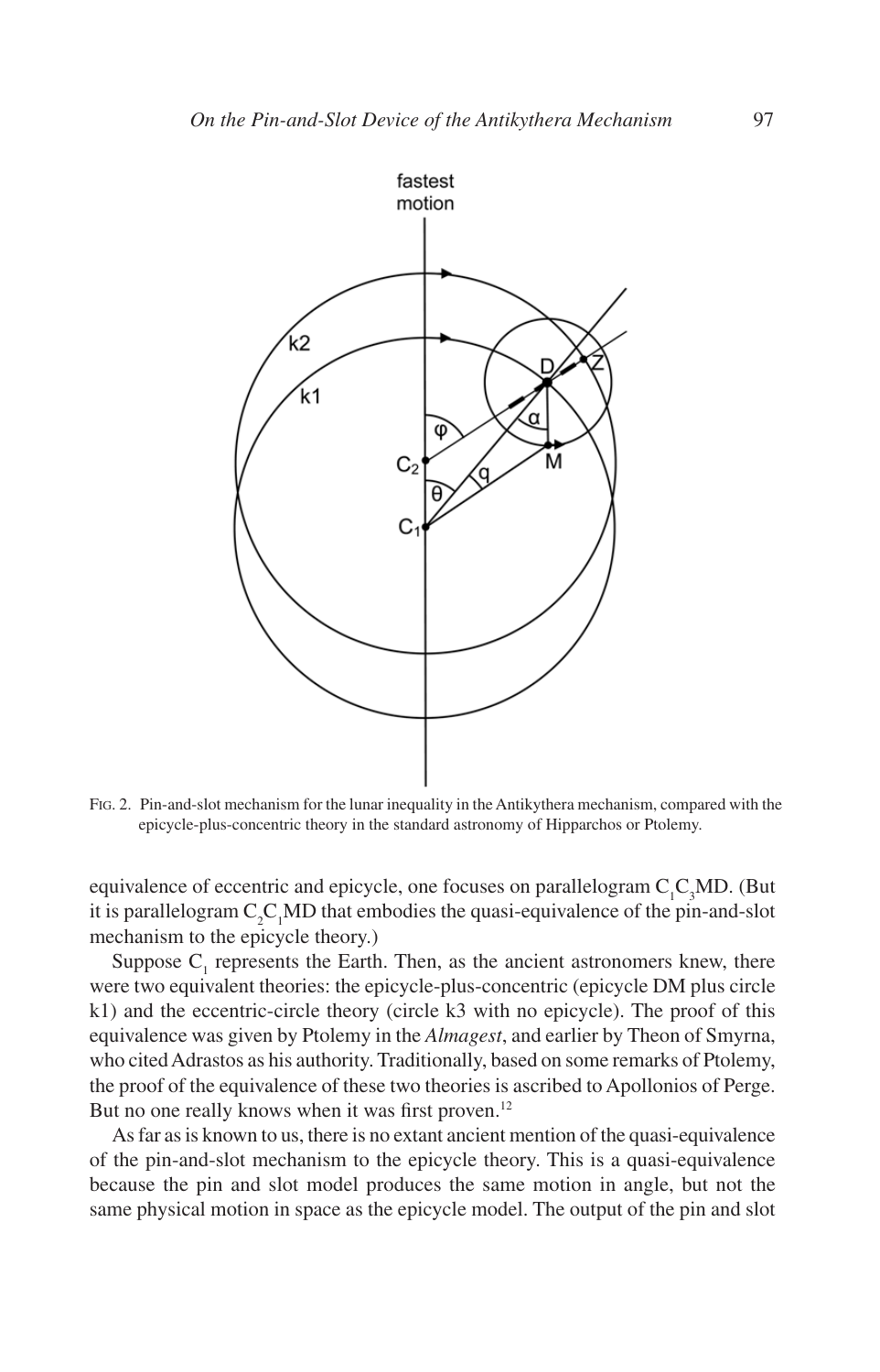

FIG. 2. Pin-and-slot mechanism for the lunar inequality in the Antikythera mechanism, compared with the epicycle-plus-concentric theory in the standard astronomy of Hipparchos or Ptolemy.

equivalence of eccentric and epicycle, one focuses on parallelogram C<sub>,</sub>C<sub>2</sub>MD. (But it is parallelogram C<sub>2</sub>C<sub>1</sub>MD that embodies the quasi-equivalence of the pin-and-slot mechanism to the epicycle theory.)

Suppose  $C_1$  represents the Earth. Then, as the ancient astronomers knew, there were two equivalent theories: the epicycle-plus-concentric (epicycle DM plus circle k1) and the eccentric-circle theory (circle k3 with no epicycle). The proof of this equivalence was given by Ptolemy in the *Almagest*, and earlier by Theon of Smyrna, who cited Adrastos as his authority. Traditionally, based on some remarks of Ptolemy, the proof of the equivalence of these two theories is ascribed to Apollonios of Perge. But no one really knows when it was first proven.<sup>12</sup>

As far as is known to us, there is no extant ancient mention of the quasi-equivalence of the pin-and-slot mechanism to the epicycle theory. This is a quasi-equivalence because the pin and slot model produces the same motion in angle, but not the same physical motion in space as the epicycle model. The output of the pin and slot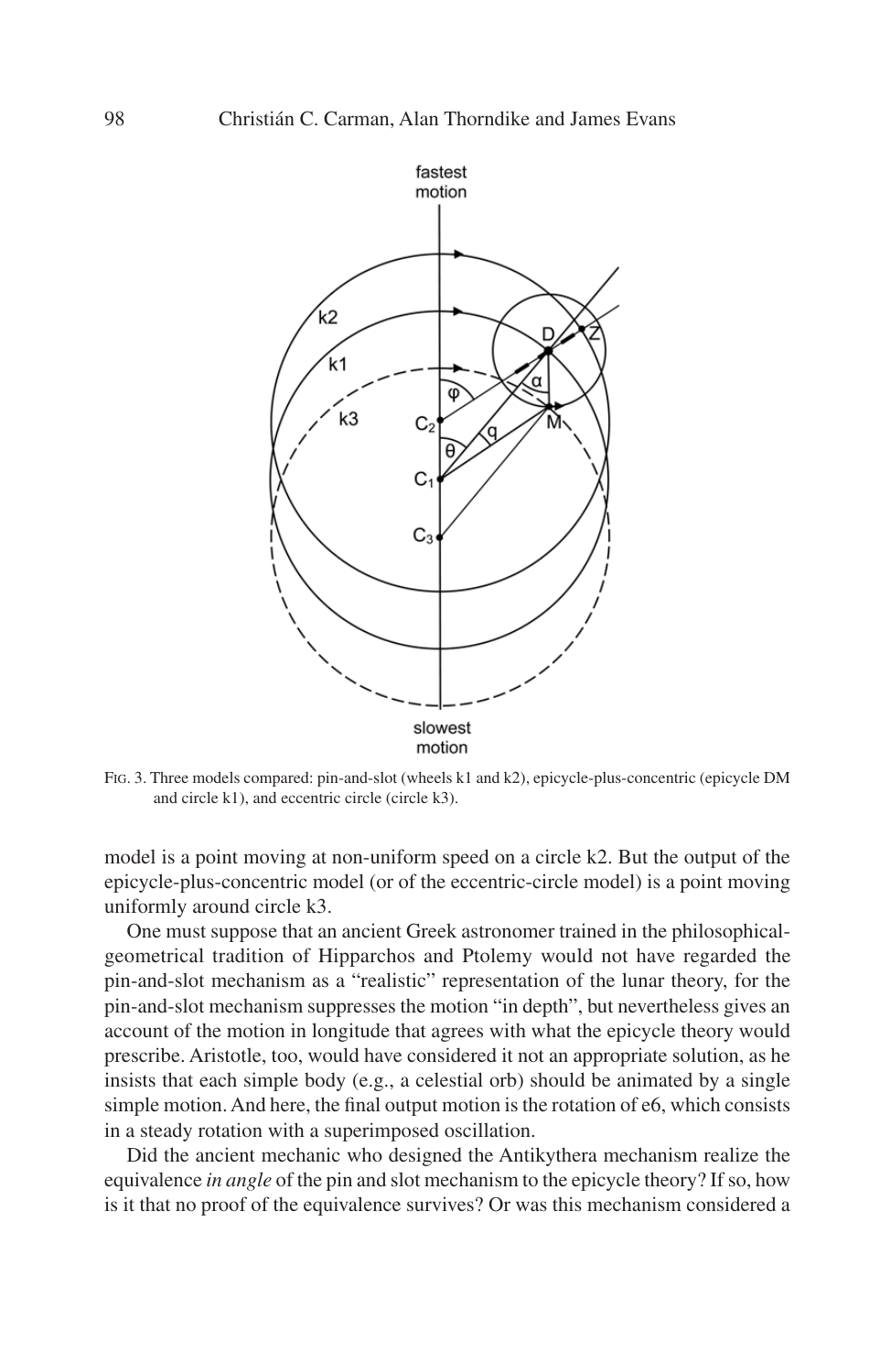

FIG. 3. Three models compared: pin-and-slot (wheels k1 and k2), epicycle-plus-concentric (epicycle DM and circle k1), and eccentric circle (circle k3).

model is a point moving at non-uniform speed on a circle k2. But the output of the epicycle-plus-concentric model (or of the eccentric-circle model) is a point moving uniformly around circle k3.

One must suppose that an ancient Greek astronomer trained in the philosophicalgeometrical tradition of Hipparchos and Ptolemy would not have regarded the pin-and-slot mechanism as a "realistic" representation of the lunar theory, for the pin-and-slot mechanism suppresses the motion "in depth", but nevertheless gives an account of the motion in longitude that agrees with what the epicycle theory would prescribe. Aristotle, too, would have considered it not an appropriate solution, as he insists that each simple body (e.g., a celestial orb) should be animated by a single simple motion. And here, the final output motion is the rotation of e6, which consists in a steady rotation with a superimposed oscillation.

Did the ancient mechanic who designed the Antikythera mechanism realize the equivalence in angle of the pin and slot mechanism to the epicycle theory? If so, how is it that no proof of the equivalence survives? Or was this mechanism considered a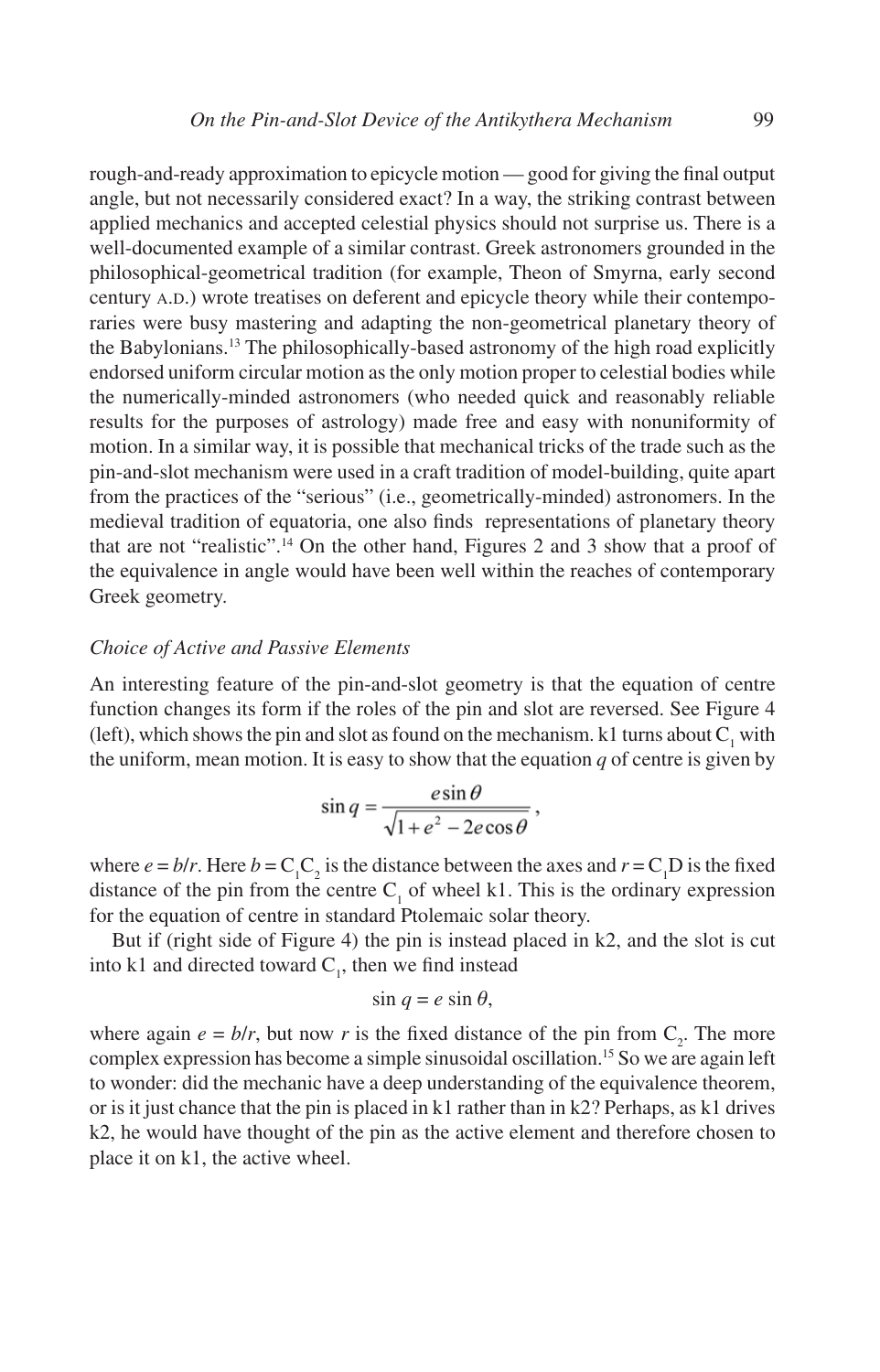rough-and-ready approximation to epicycle motion — good for giving the final output angle, but not necessarily considered exact? In a way, the striking contrast between applied mechanics and accepted celestial physics should not surprise us. There is a well-documented example of a similar contrast. Greek astronomers grounded in the philosophical-geometrical tradition (for example, Theon of Smyrna, early second century A.D.) wrote treatises on deferent and epicycle theory while their contemporaries were busy mastering and adapting the non-geometrical planetary theory of the Babylonians.<sup>13</sup> The philosophically-based astronomy of the high road explicitly endorsed uniform circular motion as the only motion proper to celestial bodies while the numerically-minded astronomers (who needed quick and reasonably reliable results for the purposes of astrology) made free and easy with nonuniformity of motion. In a similar way, it is possible that mechanical tricks of the trade such as the pin-and-slot mechanism were used in a craft tradition of model-building, quite apart from the practices of the "serious" (i.e., geometrically-minded) astronomers. In the medieval tradition of equatoria, one also finds representations of planetary theory that are not "realistic".<sup>14</sup> On the other hand, Figures 2 and 3 show that a proof of the equivalence in angle would have been well within the reaches of contemporary Greek geometry.

## Choice of Active and Passive Elements

An interesting feature of the pin-and-slot geometry is that the equation of centre function changes its form if the roles of the pin and slot are reversed. See Figure 4 (left), which shows the pin and slot as found on the mechanism.  $k1$  turns about  $C<sub>1</sub>$  with the uniform, mean motion. It is easy to show that the equation  $q$  of centre is given by

$$
\sin q = \frac{e \sin \theta}{\sqrt{1 + e^2 - 2e \cos \theta}},
$$

where  $e = b/r$ . Here  $b = C_1C_2$  is the distance between the axes and  $r = C_1D$  is the fixed distance of the pin from the centre  $C<sub>1</sub>$  of wheel k1. This is the ordinary expression for the equation of centre in standard Ptolemaic solar theory.

But if (right side of Figure 4) the pin is instead placed in k2, and the slot is cut into  $k1$  and directed toward  $C_1$ , then we find instead

$$
\sin q = e \sin \theta,
$$

where again  $e = b/r$ , but now r is the fixed distance of the pin from C<sub>2</sub>. The more complex expression has become a simple sinusoidal oscillation.<sup>15</sup> So we are again left to wonder: did the mechanic have a deep understanding of the equivalence theorem, or is it just chance that the pin is placed in k1 rather than in k2? Perhaps, as k1 drives k2, he would have thought of the pin as the active element and therefore chosen to place it on k1, the active wheel.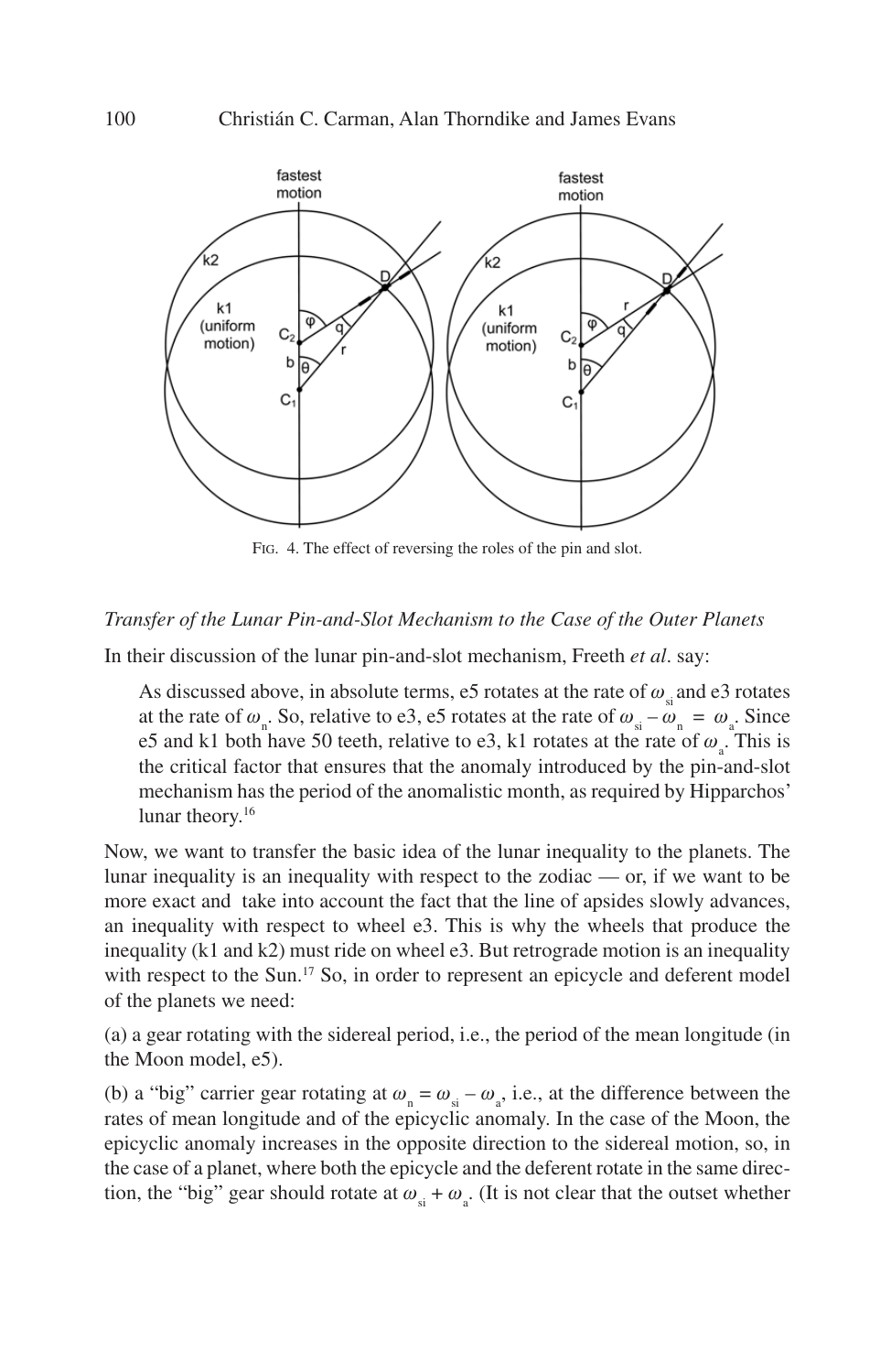

FIG. 4. The effect of reversing the roles of the pin and slot.

## Transfer of the Lunar Pin-and-Slot Mechanism to the Case of the Outer Planets

In their discussion of the lunar pin-and-slot mechanism, Freeth et al. say:

As discussed above, in absolute terms, e5 rotates at the rate of  $\omega_{\rm s}$  and e3 rotates at the rate of  $\omega_{n}$ . So, relative to e3, e5 rotates at the rate of  $\omega_{si} - \omega_{n} = \omega_{a}$ . Since e5 and k1 both have 50 teeth, relative to e3, k1 rotates at the rate of  $\omega$ . This is the critical factor that ensures that the anomaly introduced by the pin-and-slot mechanism has the period of the anomalistic month, as required by Hipparchos' lunar theory.<sup>16</sup>

Now, we want to transfer the basic idea of the lunar inequality to the planets. The lunar inequality is an inequality with respect to the zodiac — or, if we want to be more exact and take into account the fact that the line of apsides slowly advances, an inequality with respect to wheel e3. This is why the wheels that produce the inequality ( $k1$  and  $k2$ ) must ride on wheel e3. But retrograde motion is an inequality with respect to the Sun.<sup>17</sup> So, in order to represent an epicycle and deferent model of the planets we need:

(a) a gear rotating with the sidereal period, i.e., the period of the mean longitude (in the Moon model, e5).

(b) a "big" carrier gear rotating at  $\omega_n = \omega_{si} - \omega_{si}$ , i.e., at the difference between the rates of mean longitude and of the epicyclic anomaly. In the case of the Moon, the epicyclic anomaly increases in the opposite direction to the sidereal motion, so, in the case of a planet, where both the epicycle and the deferent rotate in the same direction, the "big" gear should rotate at  $\omega_{si} + \omega_{si}$ . (It is not clear that the outset whether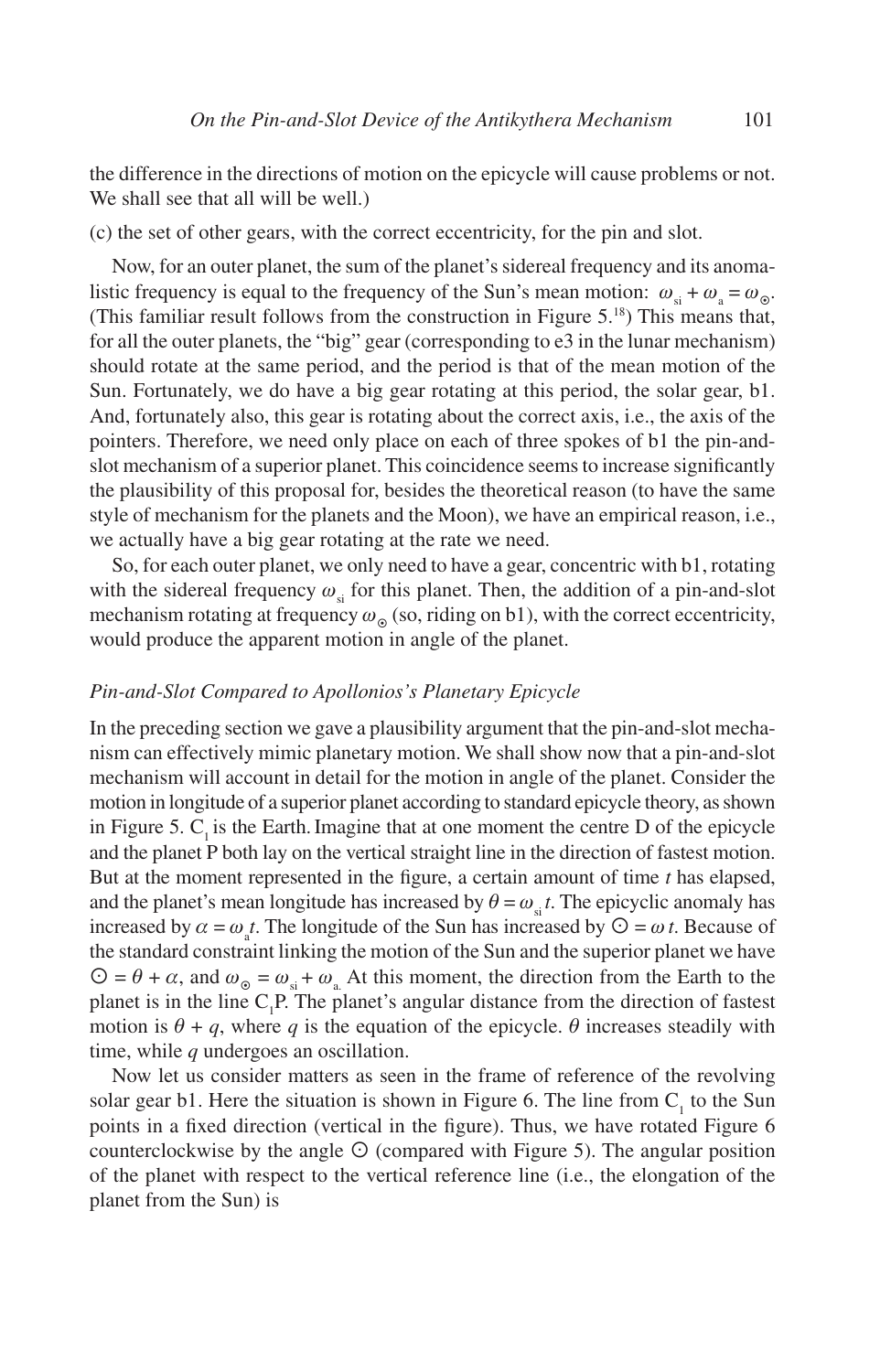the difference in the directions of motion on the epicycle will cause problems or not. We shall see that all will be well.)

(c) the set of other gears, with the correct eccentricity, for the pin and slot.

Now, for an outer planet, the sum of the planet's sidereal frequency and its anomalistic frequency is equal to the frequency of the Sun's mean motion:  $\omega_{si} + \omega_a = \omega_{\odot}$ . (This familiar result follows from the construction in Figure 5.<sup>18</sup>) This means that, for all the outer planets, the "big" gear (corresponding to e3 in the lunar mechanism) should rotate at the same period, and the period is that of the mean motion of the Sun. Fortunately, we do have a big gear rotating at this period, the solar gear, b1. And, fortunately also, this gear is rotating about the correct axis, i.e., the axis of the pointers. Therefore, we need only place on each of three spokes of b1 the pin-andslot mechanism of a superior planet. This coincidence seems to increase significantly the plausibility of this proposal for, besides the theoretical reason (to have the same style of mechanism for the planets and the Moon), we have an empirical reason, i.e., we actually have a big gear rotating at the rate we need.

So, for each outer planet, we only need to have a gear, concentric with b1, rotating with the sidereal frequency  $\omega_{\alpha}$  for this planet. Then, the addition of a pin-and-slot mechanism rotating at frequency  $\omega_{\alpha}$  (so, riding on b1), with the correct eccentricity, would produce the apparent motion in angle of the planet.

# Pin-and-Slot Compared to Apollonios's Planetary Epicycle

In the preceding section we gave a plausibility argument that the pin-and-slot mechanism can effectively mimic planetary motion. We shall show now that a pin-and-slot mechanism will account in detail for the motion in angle of the planet. Consider the motion in longitude of a superior planet according to standard epicycle theory, as shown in Figure 5.  $C<sub>1</sub>$  is the Earth. Imagine that at one moment the centre D of the epicycle and the planet P both lay on the vertical straight line in the direction of fastest motion. But at the moment represented in the figure, a certain amount of time  $t$  has elapsed, and the planet's mean longitude has increased by  $\theta = \omega_{\alpha} t$ . The epicyclic anomaly has increased by  $\alpha = \omega_t$ . The longitude of the Sun has increased by  $\Theta = \omega t$ . Because of the standard constraint linking the motion of the Sun and the superior planet we have  $\hat{O} = \theta + \alpha$ , and  $\omega_0 = \omega_0 + \omega_0$ . At this moment, the direction from the Earth to the planet is in the line C.P. The planet's angular distance from the direction of fastest motion is  $\theta + q$ , where q is the equation of the epicycle.  $\theta$  increases steadily with time, while  $q$  undergoes an oscillation.

Now let us consider matters as seen in the frame of reference of the revolving solar gear b1. Here the situation is shown in Figure 6. The line from C, to the Sun points in a fixed direction (vertical in the figure). Thus, we have rotated Figure 6 counterclockwise by the angle  $\odot$  (compared with Figure 5). The angular position of the planet with respect to the vertical reference line (i.e., the elongation of the planet from the Sun) is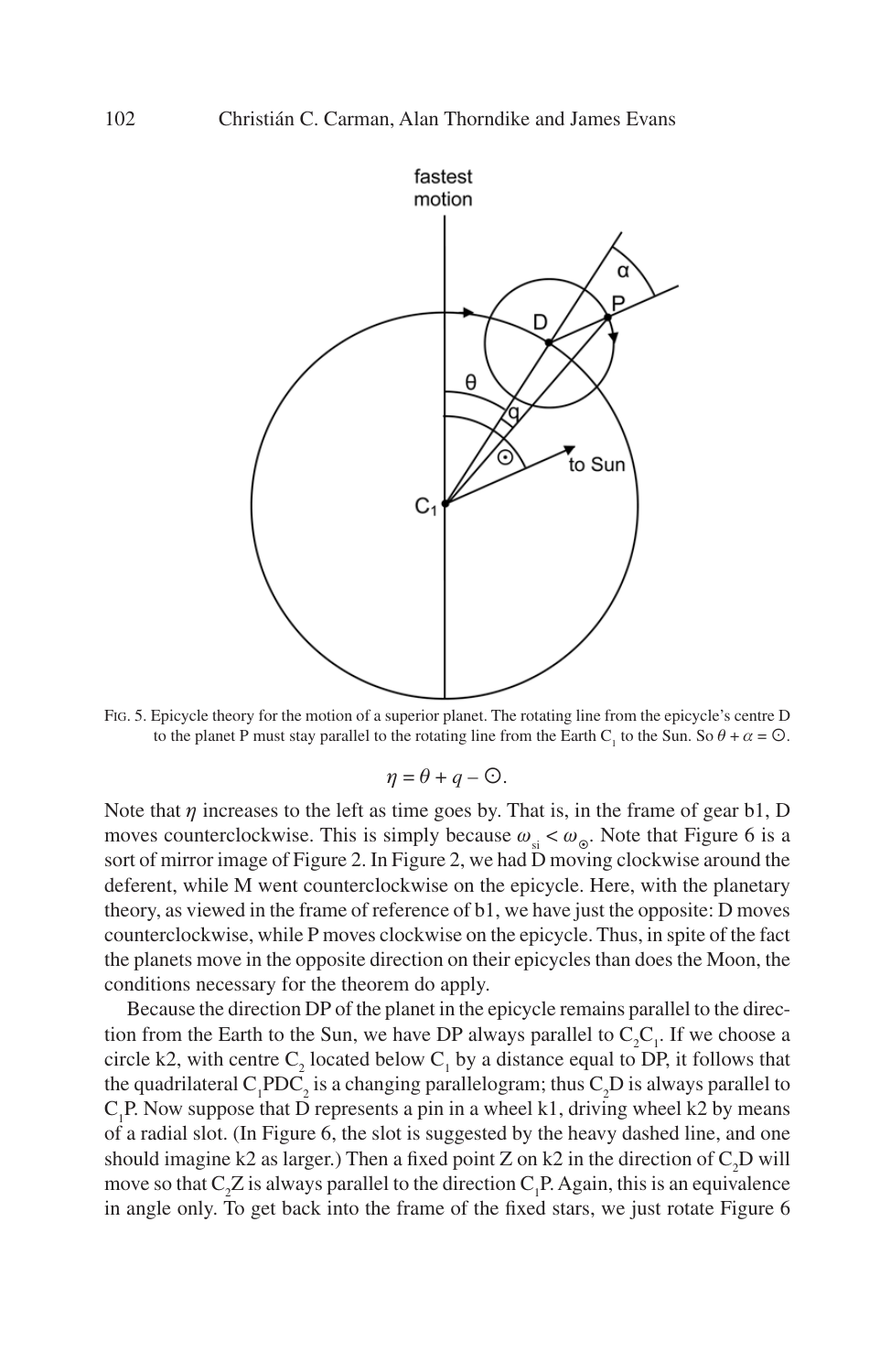

FIG. 5. Epicycle theory for the motion of a superior planet. The rotating line from the epicycle's centre D to the planet P must stay parallel to the rotating line from the Earth C<sub>1</sub> to the Sun. So  $\theta + \alpha = \odot$ .

$$
\eta = \theta + q - \Theta.
$$

Note that  $\eta$  increases to the left as time goes by. That is, in the frame of gear b1, D moves counterclockwise. This is simply because  $\omega_{\rm s} < \omega_{\rm o}$ . Note that Figure 6 is a sort of mirror image of Figure 2. In Figure 2, we had D moving clockwise around the deferent, while M went counterclockwise on the epicycle. Here, with the planetary theory, as viewed in the frame of reference of b1, we have just the opposite: D moves counterclockwise, while P moves clockwise on the epicycle. Thus, in spite of the fact the planets move in the opposite direction on their epicycles than does the Moon, the conditions necessary for the theorem do apply.

Because the direction DP of the planet in the epicycle remains parallel to the direction from the Earth to the Sun, we have DP always parallel to  $C_2C_1$ . If we choose a circle k2, with centre C, located below C, by a distance equal to DP, it follows that the quadrilateral  $C$ , PDC<sub>2</sub> is a changing parallelogram; thus  $C$ , D is always parallel to C<sub>,</sub>P. Now suppose that D represents a pin in a wheel k1, driving wheel k2 by means of a radial slot. (In Figure 6, the slot is suggested by the heavy dashed line, and one should imagine k2 as larger.) Then a fixed point Z on k2 in the direction of C<sub>2</sub>D will move so that  $C_1Z$  is always parallel to the direction  $C_1P$ . Again, this is an equivalence in angle only. To get back into the frame of the fixed stars, we just rotate Figure 6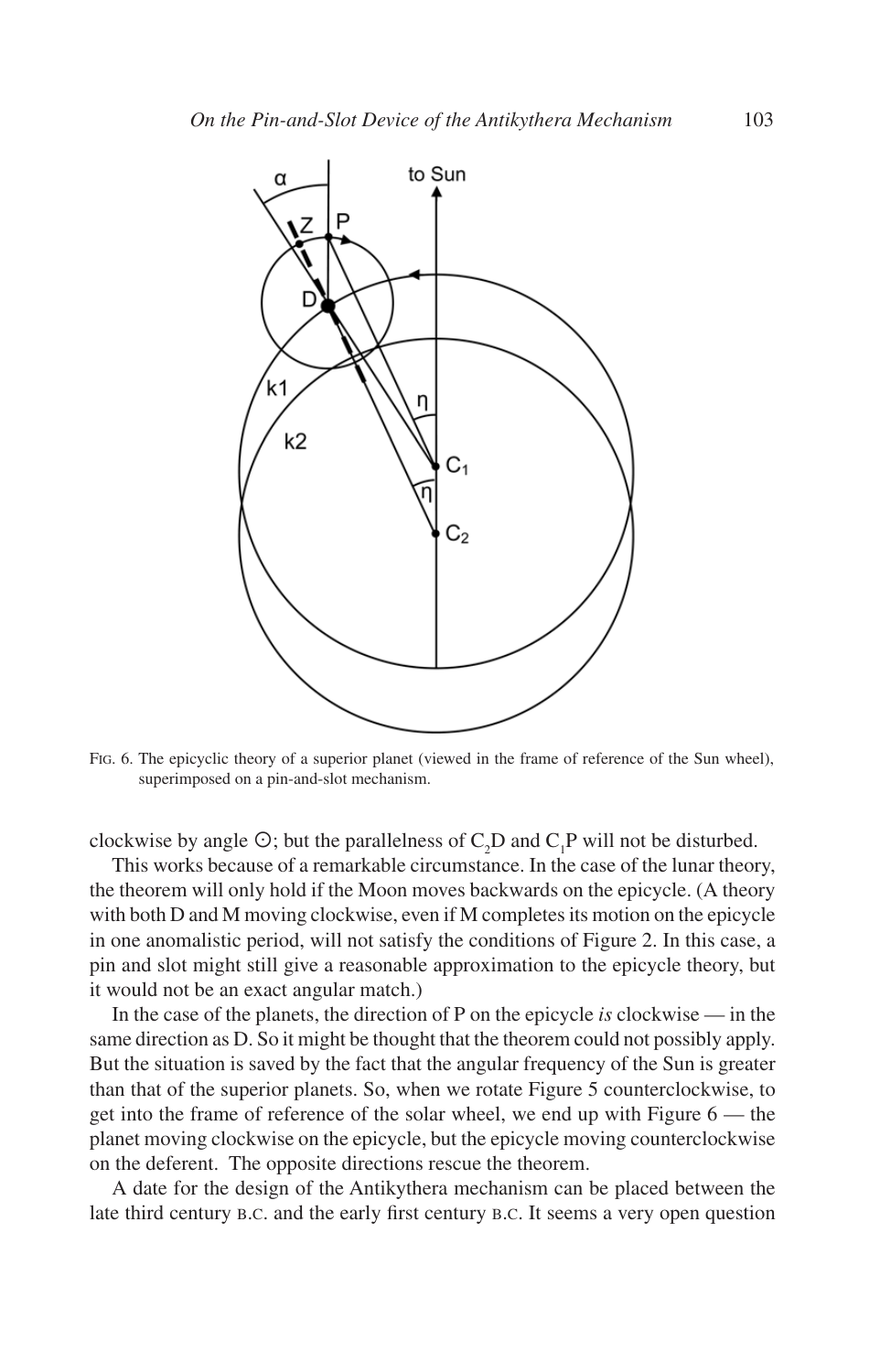

FIG. 6. The epicyclic theory of a superior planet (viewed in the frame of reference of the Sun wheel), superimposed on a pin-and-slot mechanism.

clockwise by angle  $\odot$ ; but the parallelness of C<sub>2</sub>D and C<sub>1</sub>P will not be disturbed.

This works because of a remarkable circumstance. In the case of the lunar theory, the theorem will only hold if the Moon moves backwards on the epicycle. (A theory with both D and M moving clockwise, even if M completes its motion on the epicycle in one anomalistic period, will not satisfy the conditions of Figure 2. In this case, a pin and slot might still give a reasonable approximation to the epicycle theory, but it would not be an exact angular match.)

In the case of the planets, the direction of P on the epicycle is clockwise  $\frac{1}{\sqrt{1-\frac{1}{n}}}$  in the same direction as D. So it might be thought that the theorem could not possibly apply. But the situation is saved by the fact that the angular frequency of the Sun is greater than that of the superior planets. So, when we rotate Figure 5 counterclockwise, to get into the frame of reference of the solar wheel, we end up with Figure 6 — the planet moving clockwise on the epicycle, but the epicycle moving counterclockwise on the deferent. The opposite directions rescue the theorem.

A date for the design of the Antikythera mechanism can be placed between the late third century B.C. and the early first century B.C. It seems a very open question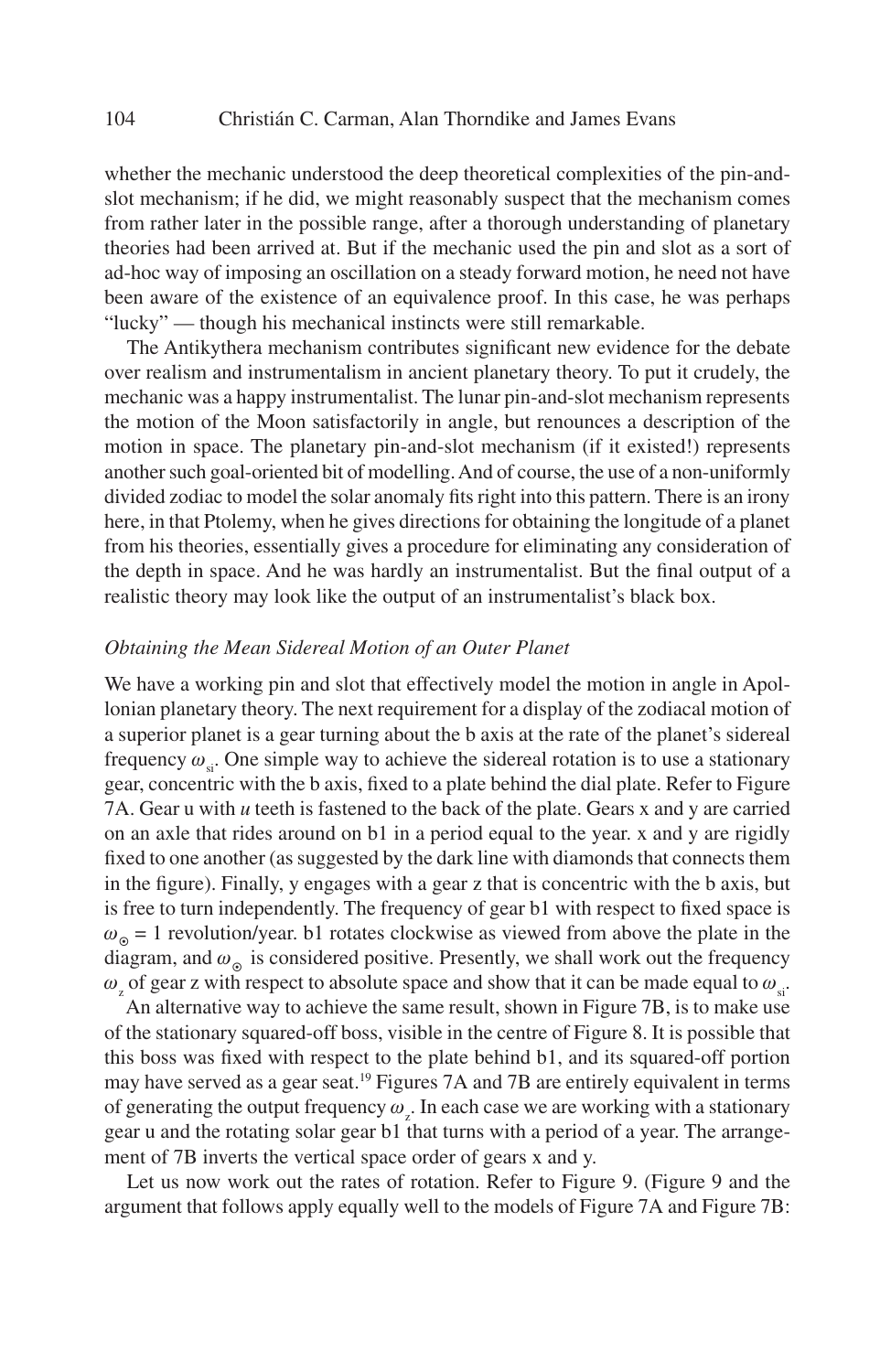whether the mechanic understood the deep theoretical complexities of the pin-andslot mechanism; if he did, we might reasonably suspect that the mechanism comes from rather later in the possible range, after a thorough understanding of planetary theories had been arrived at. But if the mechanic used the pin and slot as a sort of ad-hoc way of imposing an oscillation on a steady forward motion, he need not have been aware of the existence of an equivalence proof. In this case, he was perhaps "lucky" — though his mechanical instincts were still remarkable.

The Antikythera mechanism contributes significant new evidence for the debate over realism and instrumentalism in ancient planetary theory. To put it crudely, the mechanic was a happy instrumentalist. The lunar pin-and-slot mechanism represents the motion of the Moon satisfactorily in angle, but renounces a description of the motion in space. The planetary pin-and-slot mechanism (if it existed!) represents another such goal-oriented bit of modelling. And of course, the use of a non-uniformly divided zodiac to model the solar anomaly fits right into this pattern. There is an irony here, in that Ptolemy, when he gives directions for obtaining the longitude of a planet from his theories, essentially gives a procedure for eliminating any consideration of the depth in space. And he was hardly an instrumentalist. But the final output of a realistic theory may look like the output of an instrumentalist's black box.

## Obtaining the Mean Sidereal Motion of an Outer Planet

We have a working pin and slot that effectively model the motion in angle in Apollonian planetary theory. The next requirement for a display of the zodiacal motion of a superior planet is a gear turning about the b axis at the rate of the planet's sidereal frequency  $\omega_{\alpha}$ . One simple way to achieve the sidereal rotation is to use a stationary gear, concentric with the b axis, fixed to a plate behind the dial plate. Refer to Figure 7A. Gear  $u$  with  $u$  teeth is fastened to the back of the plate. Gears  $x$  and  $y$  are carried on an axle that rides around on b1 in a period equal to the year. x and y are rigidly fixed to one another (as suggested by the dark line with diamonds that connects them in the figure). Finally, y engages with a gear z that is concentric with the b axis, but is free to turn independently. The frequency of gear b1 with respect to fixed space is  $\omega_{\phi}$  = 1 revolution/year. b1 rotates clockwise as viewed from above the plate in the diagram, and  $\omega_0$  is considered positive. Presently, we shall work out the frequency  $\omega_{\alpha}$  of gear z with respect to absolute space and show that it can be made equal to  $\omega_{\alpha}$ .

An alternative way to achieve the same result, shown in Figure 7B, is to make use of the stationary squared-off boss, visible in the centre of Figure 8. It is possible that this boss was fixed with respect to the plate behind b1, and its squared-off portion may have served as a gear seat.<sup>19</sup> Figures 7A and 7B are entirely equivalent in terms of generating the output frequency  $\omega$ . In each case we are working with a stationary gear u and the rotating solar gear b1 that turns with a period of a year. The arrangement of 7B inverts the vertical space order of gears x and y.

Let us now work out the rates of rotation. Refer to Figure 9. (Figure 9 and the argument that follows apply equally well to the models of Figure 7A and Figure 7B: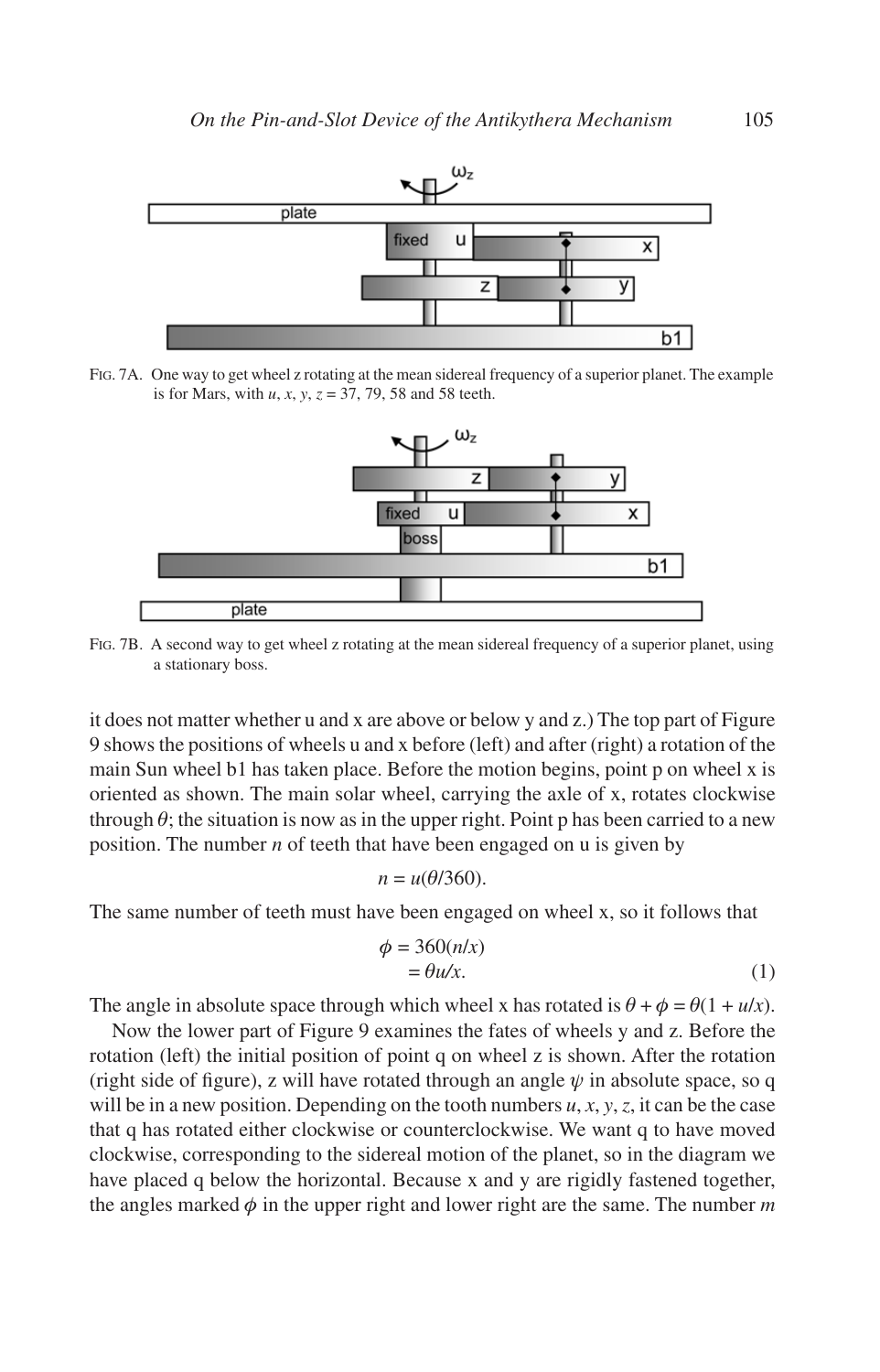

FIG. 7A. One way to get wheel z rotating at the mean sidereal frequency of a superior planet. The example is for Mars, with  $u$ ,  $x$ ,  $y$ ,  $z = 37$ , 79, 58 and 58 teeth.



FIG. 7B. A second way to get wheel z rotating at the mean sidereal frequency of a superior planet, using a stationary boss.

it does not matter whether u and x are above or below y and z.) The top part of Figure 9 shows the positions of wheels u and x before (left) and after (right) a rotation of the main Sun wheel b1 has taken place. Before the motion begins, point p on wheel x is oriented as shown. The main solar wheel, carrying the axle of x, rotates clockwise through  $\theta$ ; the situation is now as in the upper right. Point p has been carried to a new position. The number  $n$  of teeth that have been engaged on  $u$  is given by

$$
n = u(\theta/360).
$$

The same number of teeth must have been engaged on wheel x, so it follows that

$$
\phi = 360(n/x) \n= \theta u/x.
$$
\n(1)

The angle in absolute space through which wheel x has rotated is  $\theta + \phi = \theta(1 + u/x)$ .

Now the lower part of Figure 9 examines the fates of wheels y and z. Before the rotation (left) the initial position of point q on wheel z is shown. After the rotation (right side of figure), z will have rotated through an angle  $\psi$  in absolute space, so q will be in a new position. Depending on the tooth numbers  $u, x, y, z$ , it can be the case that q has rotated either clockwise or counterclockwise. We want q to have moved clockwise, corresponding to the sidereal motion of the planet, so in the diagram we have placed q below the horizontal. Because x and y are rigidly fastened together, the angles marked  $\phi$  in the upper right and lower right are the same. The number m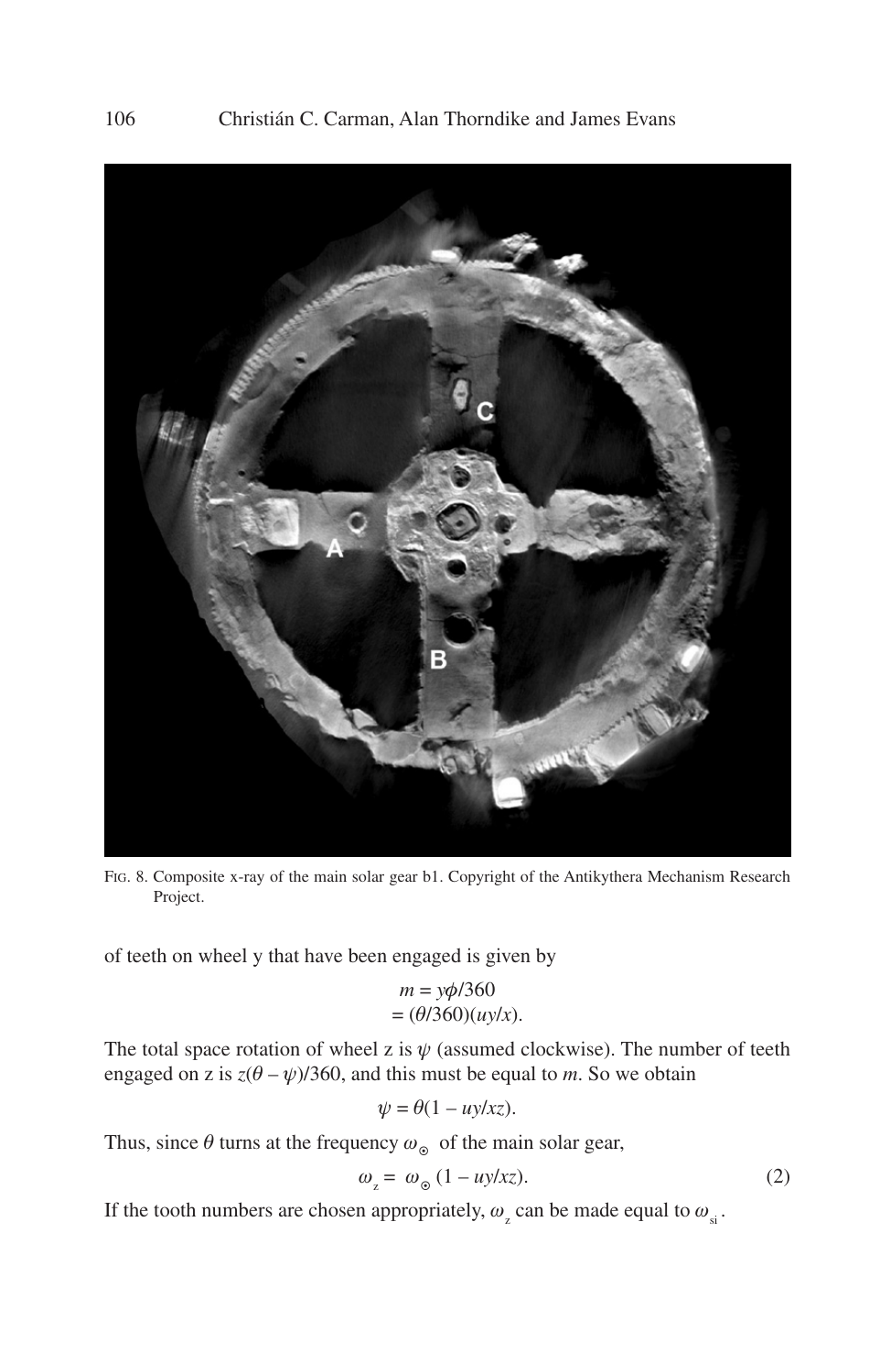

FIG. 8. Composite x-ray of the main solar gear b1. Copyright of the Antikythera Mechanism Research Project.

of teeth on wheel y that have been engaged is given by

$$
m = y\phi/360
$$
  
=  $(\theta/360)(uy/x)$ .

The total space rotation of wheel z is  $\psi$  (assumed clockwise). The number of teeth engaged on z is  $z(\theta - \psi)/360$ , and this must be equal to *m*. So we obtain

$$
\psi = \theta(1 - uy/xz).
$$

Thus, since  $\theta$  turns at the frequency  $\omega_{\alpha}$  of the main solar gear,

$$
\omega_z = \omega_\odot (1 - uy/xz). \tag{2}
$$

If the tooth numbers are chosen appropriately,  $\omega_z$  can be made equal to  $\omega_{si}$ .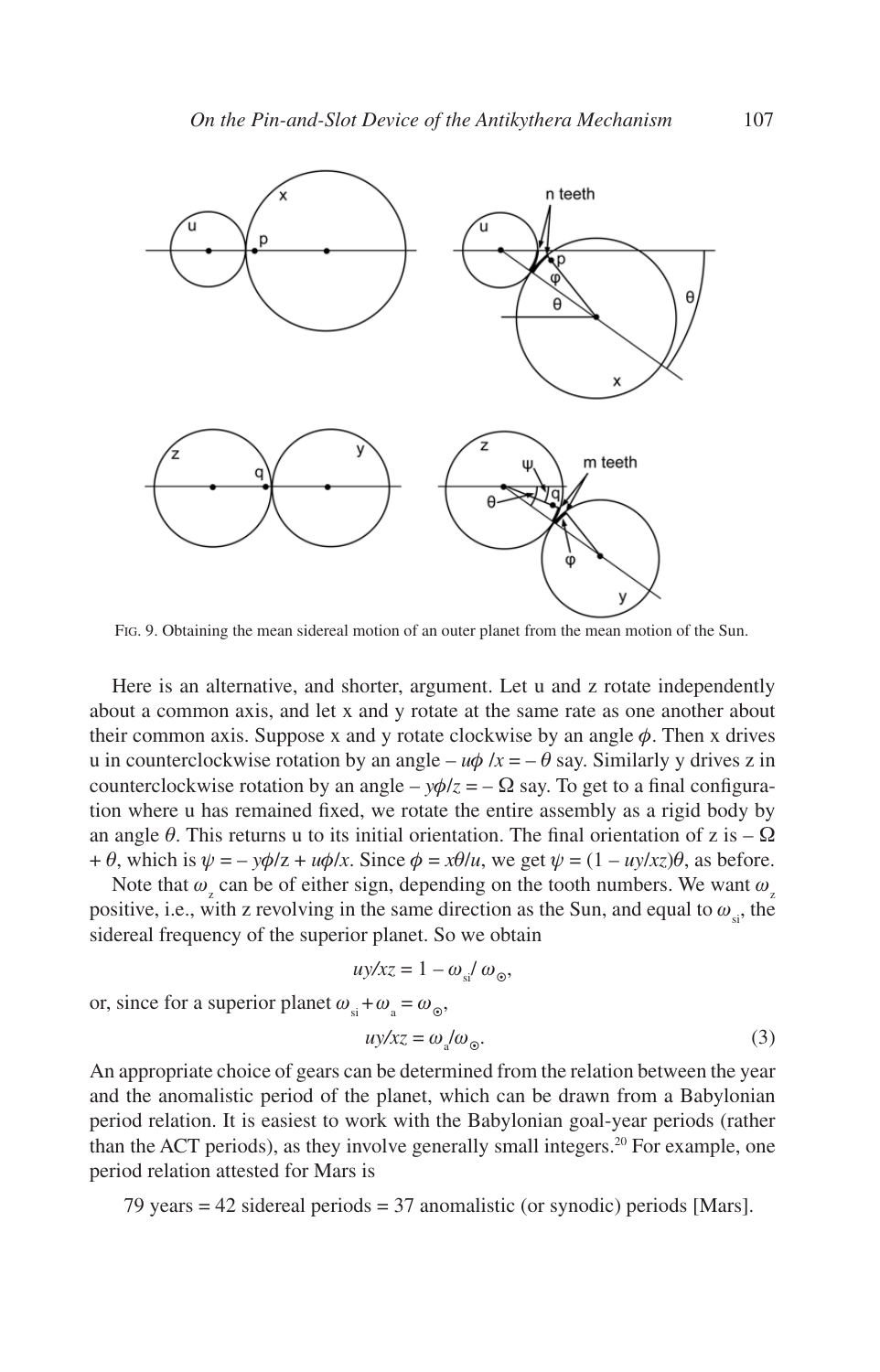

FIG. 9. Obtaining the mean sidereal motion of an outer planet from the mean motion of the Sun.

Here is an alternative, and shorter, argument. Let u and z rotate independently about a common axis, and let x and y rotate at the same rate as one another about their common axis. Suppose x and y rotate clockwise by an angle  $\phi$ . Then x drives u in counterclockwise rotation by an angle –  $u\phi / x = -\theta$  say. Similarly y drives z in counterclockwise rotation by an angle –  $v\phi/z = -\Omega$  say. To get to a final configuration where u has remained fixed, we rotate the entire assembly as a rigid body by an angle  $\theta$ . This returns u to its initial orientation. The final orientation of z is  $-\Omega$ +  $\theta$ , which is  $\psi = -y\phi/z + u\phi/x$ . Since  $\phi = x\theta/u$ , we get  $\psi = (1 - uy/xz)\theta$ , as before.

Note that  $\omega_{\alpha}$  can be of either sign, depending on the tooth numbers. We want  $\omega_{\alpha}$ positive, i.e., with z revolving in the same direction as the Sun, and equal to  $\omega_{si}$ , the sidereal frequency of the superior planet. So we obtain

$$
uy/xz = 1 - \omega_{\rm s} / \omega_{\rm o}
$$

or, since for a superior planet  $\omega_{\rm st} + \omega_{\rm s} = \omega_{\rm s}$ ,

$$
uy/xz = \omega_{\rm s}/\omega_{\rm s}.\tag{3}
$$

An appropriate choice of gears can be determined from the relation between the year and the anomalistic period of the planet, which can be drawn from a Babylonian period relation. It is easiest to work with the Babylonian goal-year periods (rather than the ACT periods), as they involve generally small integers.<sup>20</sup> For example, one period relation attested for Mars is

79 years = 42 sidereal periods = 37 anomalistic (or synodic) periods [Mars].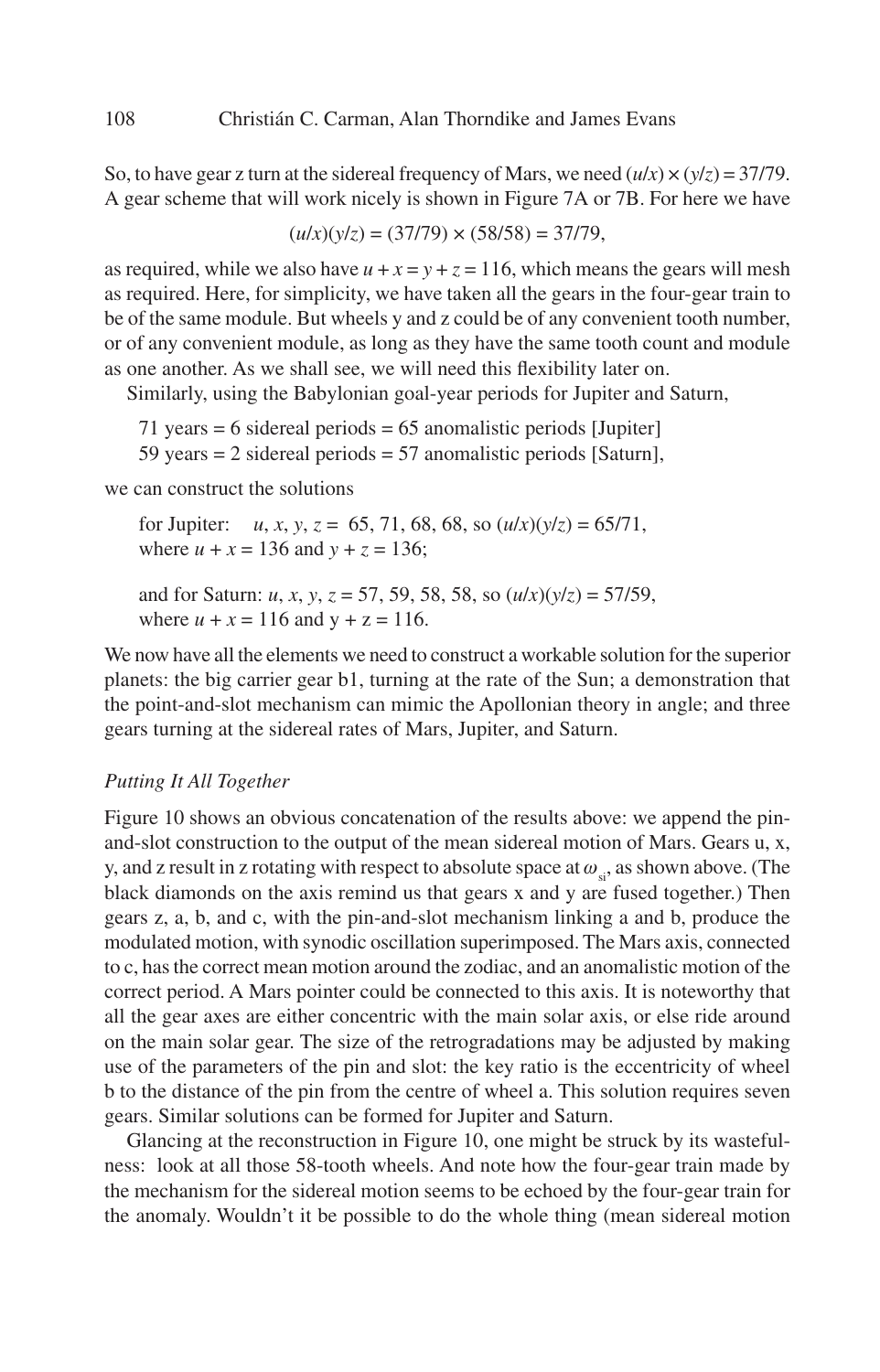So, to have gear z turn at the sidereal frequency of Mars, we need  $(u/x) \times (v/z) = 37/79$ . A gear scheme that will work nicely is shown in Figure 7A or 7B. For here we have

$$
(u/x)(y/z) = (37/79) \times (58/58) = 37/79,
$$

as required, while we also have  $u + x = y + z = 116$ , which means the gears will mesh as required. Here, for simplicity, we have taken all the gears in the four-gear train to be of the same module. But wheels y and z could be of any convenient tooth number, or of any convenient module, as long as they have the same tooth count and module as one another. As we shall see, we will need this flexibility later on.

Similarly, using the Babylonian goal-year periods for Jupiter and Saturn,

```
71 years = 6 sidereal periods = 65 anomalistic periods [Jupiter]
```
59 years = 2 sidereal periods = 57 anomalistic periods [Saturn],

we can construct the solutions

for Jupiter:  $u, x, y, z = 65, 71, 68, 68,$  so  $(u/x)(y/z) = 65/71$ , where  $u + x = 136$  and  $v + z = 136$ ;

and for Saturn: u, x, y, z = 57, 59, 58, 58, so  $(u/x)(y/z) = 57/59$ , where  $u + x = 116$  and  $y + z = 116$ .

We now have all the elements we need to construct a workable solution for the superior planets: the big carrier gear b1, turning at the rate of the Sun; a demonstration that the point-and-slot mechanism can mimic the Apollonian theory in angle; and three gears turning at the sidereal rates of Mars, Jupiter, and Saturn.

# Putting It All Together

Figure 10 shows an obvious concatenation of the results above: we append the pinand-slot construction to the output of the mean sidereal motion of Mars. Gears u, x, y, and z result in z rotating with respect to absolute space at  $\omega_{\alpha}$ , as shown above. (The black diamonds on the axis remind us that gears x and y are fused together.) Then gears z, a, b, and c, with the pin-and-slot mechanism linking a and b, produce the modulated motion, with synodic oscillation superimposed. The Mars axis, connected to c, has the correct mean motion around the zodiac, and an anomalistic motion of the correct period. A Mars pointer could be connected to this axis. It is noteworthy that all the gear axes are either concentric with the main solar axis, or else ride around on the main solar gear. The size of the retrogradations may be adjusted by making use of the parameters of the pin and slot: the key ratio is the eccentricity of wheel b to the distance of the pin from the centre of wheel a. This solution requires seven gears. Similar solutions can be formed for Jupiter and Saturn.

Glancing at the reconstruction in Figure 10, one might be struck by its wastefulness: look at all those 58-tooth wheels. And note how the four-gear train made by the mechanism for the sidereal motion seems to be echoed by the four-gear train for the anomaly. Wouldn't it be possible to do the whole thing (mean sidereal motion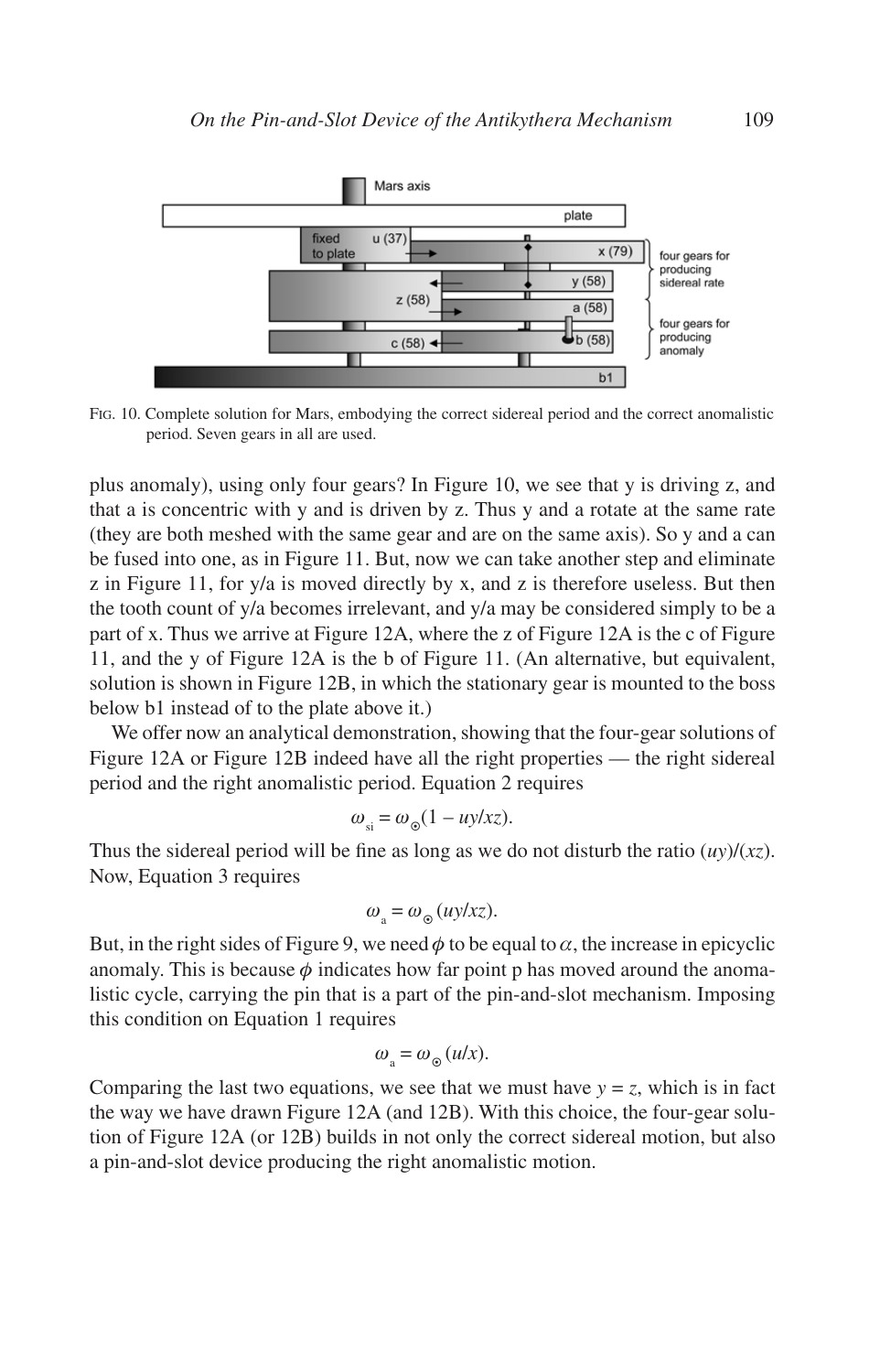

FIG. 10. Complete solution for Mars, embodying the correct sidereal period and the correct anomalistic period. Seven gears in all are used.

plus anomaly), using only four gears? In Figure 10, we see that y is driving z, and that a is concentric with y and is driven by z. Thus y and a rotate at the same rate (they are both meshed with the same gear and are on the same axis). So y and a can be fused into one, as in Figure 11. But, now we can take another step and eliminate  $z$  in Figure 11, for  $y/a$  is moved directly by x, and  $z$  is therefore useless. But then the tooth count of y/a becomes irrelevant, and y/a may be considered simply to be a part of x. Thus we arrive at Figure 12A, where the z of Figure 12A is the c of Figure 11, and the y of Figure 12A is the b of Figure 11. (An alternative, but equivalent, solution is shown in Figure 12B, in which the stationary gear is mounted to the boss below b1 instead of to the plate above it.)

We offer now an analytical demonstration, showing that the four-gear solutions of Figure 12A or Figure 12B indeed have all the right properties — the right sidereal period and the right anomalistic period. Equation 2 requires

$$
\omega_{si} = \omega_{\odot} (1 - uy/xz).
$$

Thus the sidereal period will be fine as long as we do not disturb the ratio  $(uy)/(xz)$ . Now, Equation 3 requires

$$
\omega_{a} = \omega_{\odot}(uy/xz).
$$

But, in the right sides of Figure 9, we need  $\phi$  to be equal to  $\alpha$ , the increase in epicyclic anomaly. This is because  $\phi$  indicates how far point p has moved around the anomalistic cycle, carrying the pin that is a part of the pin-and-slot mechanism. Imposing this condition on Equation 1 requires

$$
\omega_{a} = \omega_{\odot}(u/x).
$$

Comparing the last two equations, we see that we must have  $y = z$ , which is in fact the way we have drawn Figure 12A (and 12B). With this choice, the four-gear solution of Figure 12A (or 12B) builds in not only the correct sidereal motion, but also a pin-and-slot device producing the right anomalistic motion.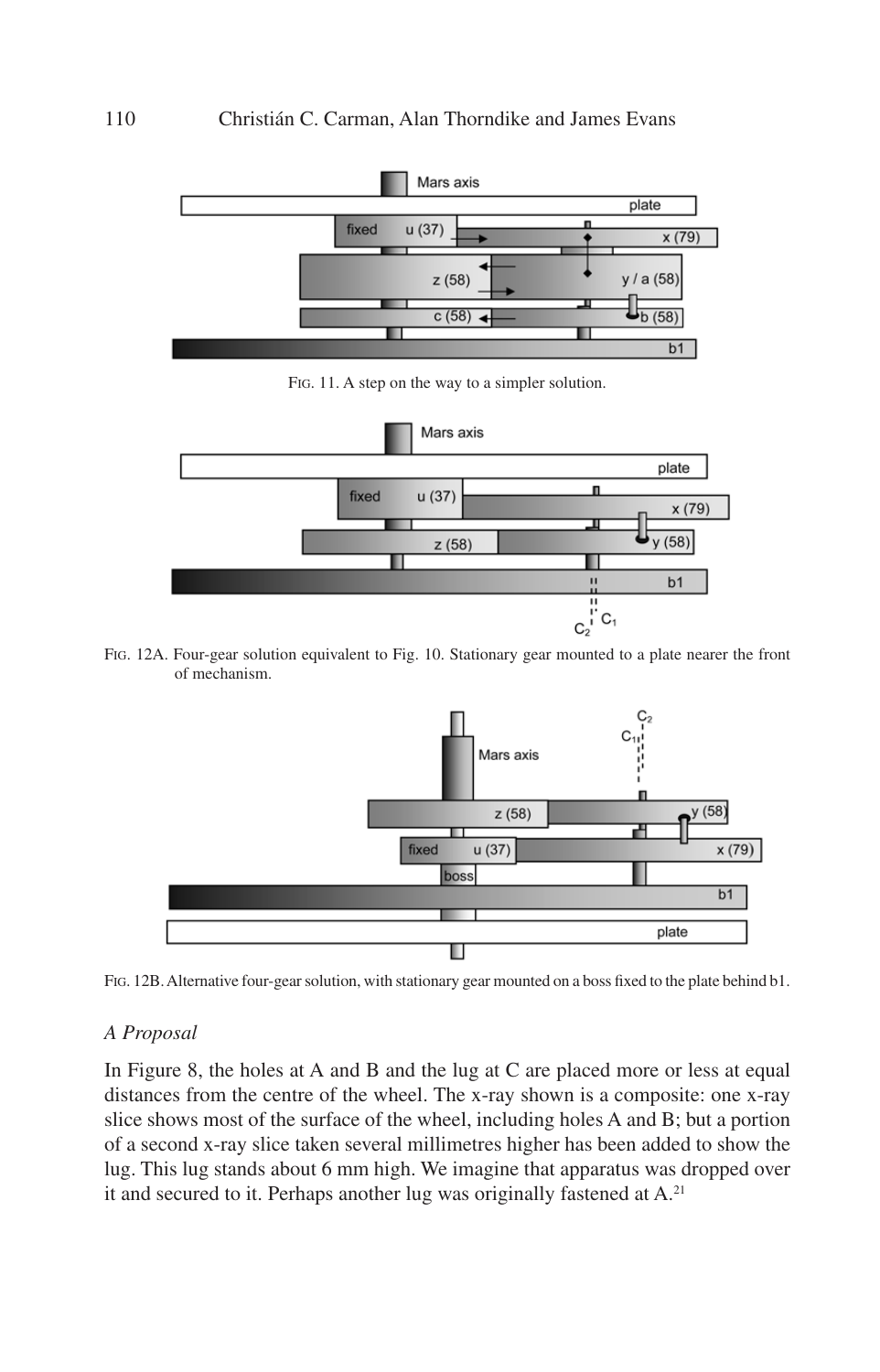

FIG. 11. A step on the way to a simpler solution.



FIG. 12A. Four-gear solution equivalent to Fig. 10. Stationary gear mounted to a plate nearer the front of mechanism.



FIG. 12B. Alternative four-gear solution, with stationary gear mounted on a boss fixed to the plate behind b1.

### A Proposal

In Figure 8, the holes at A and B and the lug at C are placed more or less at equal distances from the centre of the wheel. The x-ray shown is a composite: one x-ray slice shows most of the surface of the wheel, including holes A and B; but a portion of a second x-ray slice taken several millimetres higher has been added to show the lug. This lug stands about 6 mm high. We imagine that apparatus was dropped over it and secured to it. Perhaps another lug was originally fastened at A.<sup>21</sup>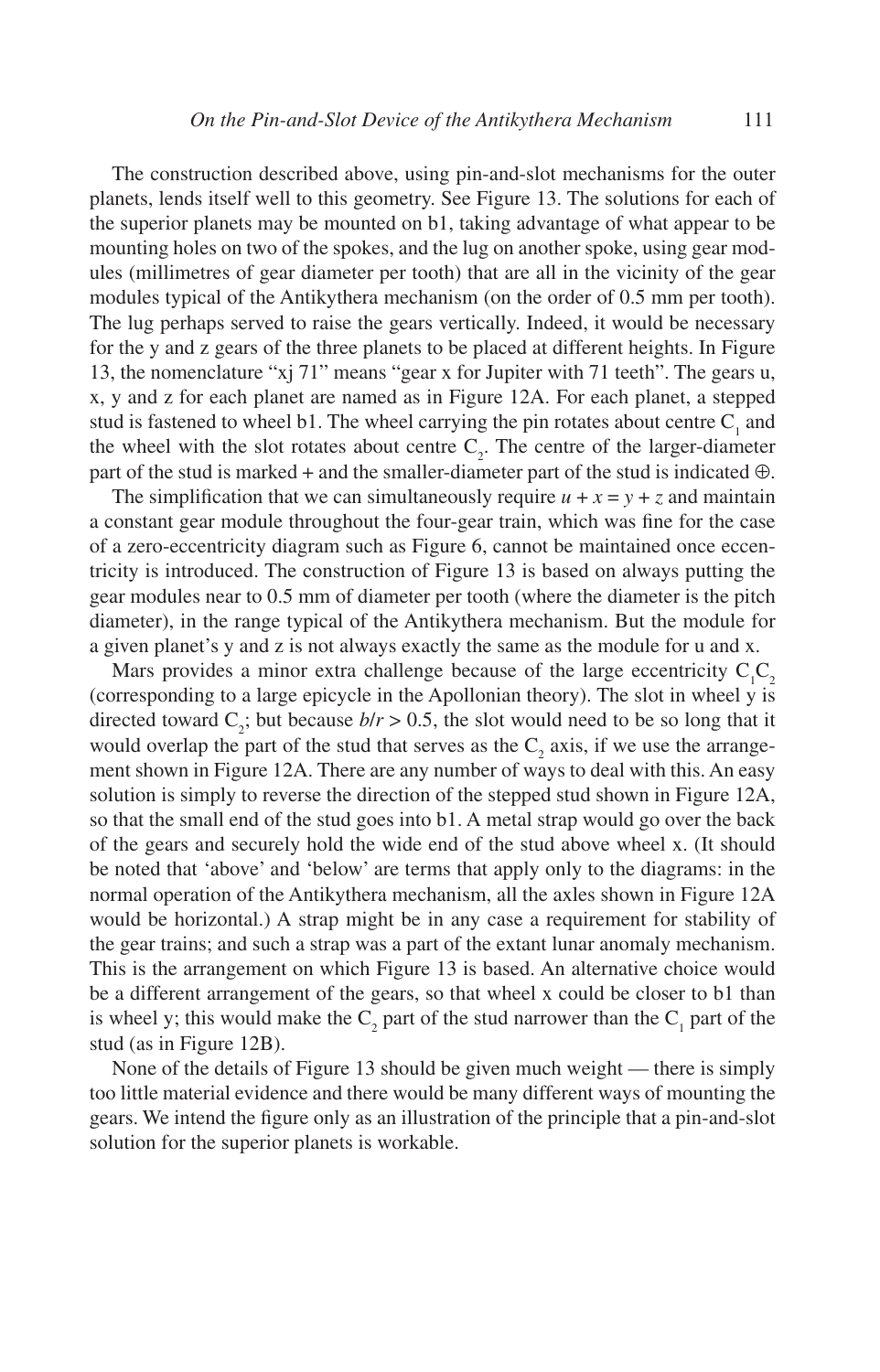The construction described above, using pin-and-slot mechanisms for the outer planets, lends itself well to this geometry. See Figure 13. The solutions for each of the superior planets may be mounted on b1, taking advantage of what appear to be mounting holes on two of the spokes, and the lug on another spoke, using gear modules (millimetres of gear diameter per tooth) that are all in the vicinity of the gear modules typical of the Antikythera mechanism (on the order of 0.5 mm per tooth). The lug perhaps served to raise the gears vertically. Indeed, it would be necessary for the y and z gears of the three planets to be placed at different heights. In Figure 13, the nomenclature "xi 71" means "gear x for Jupiter with 71 teeth". The gears u, x, y and z for each planet are named as in Figure 12A. For each planet, a stepped stud is fastened to wheel b1. The wheel carrying the pin rotates about centre  $C_1$  and the wheel with the slot rotates about centre  $C<sub>2</sub>$ . The centre of the larger-diameter part of the stud is marked + and the smaller-diameter part of the stud is indicated  $\oplus$ .

The simplification that we can simultaneously require  $u + x = y + z$  and maintain a constant gear module throughout the four-gear train, which was fine for the case of a zero-eccentricity diagram such as Figure 6, cannot be maintained once eccentricity is introduced. The construction of Figure 13 is based on always putting the gear modules near to 0.5 mm of diameter per tooth (where the diameter is the pitch diameter), in the range typical of the Antikythera mechanism. But the module for a given planet's y and z is not always exactly the same as the module for u and x.

Mars provides a minor extra challenge because of the large eccentricity  $C_1C_2$ (corresponding to a large epicycle in the Apollonian theory). The slot in wheel y is directed toward C<sub>2</sub>; but because  $b/r > 0.5$ , the slot would need to be so long that it would overlap the part of the stud that serves as the  $C_2$  axis, if we use the arrangement shown in Figure 12A. There are any number of ways to deal with this. An easy solution is simply to reverse the direction of the stepped stud shown in Figure 12A, so that the small end of the stud goes into b1. A metal strap would go over the back of the gears and securely hold the wide end of the stud above wheel x. (It should be noted that 'above' and 'below' are terms that apply only to the diagrams: in the normal operation of the Antikythera mechanism, all the axles shown in Figure 12A would be horizontal.) A strap might be in any case a requirement for stability of the gear trains; and such a strap was a part of the extant lunar anomaly mechanism. This is the arrangement on which Figure 13 is based. An alternative choice would be a different arrangement of the gears, so that wheel x could be closer to b1 than is wheel y; this would make the  $C_2$  part of the stud narrower than the  $C_1$  part of the stud (as in Figure 12B).

None of the details of Figure 13 should be given much weight — there is simply too little material evidence and there would be many different ways of mounting the gears. We intend the figure only as an illustration of the principle that a pin-and-slot solution for the superior planets is workable.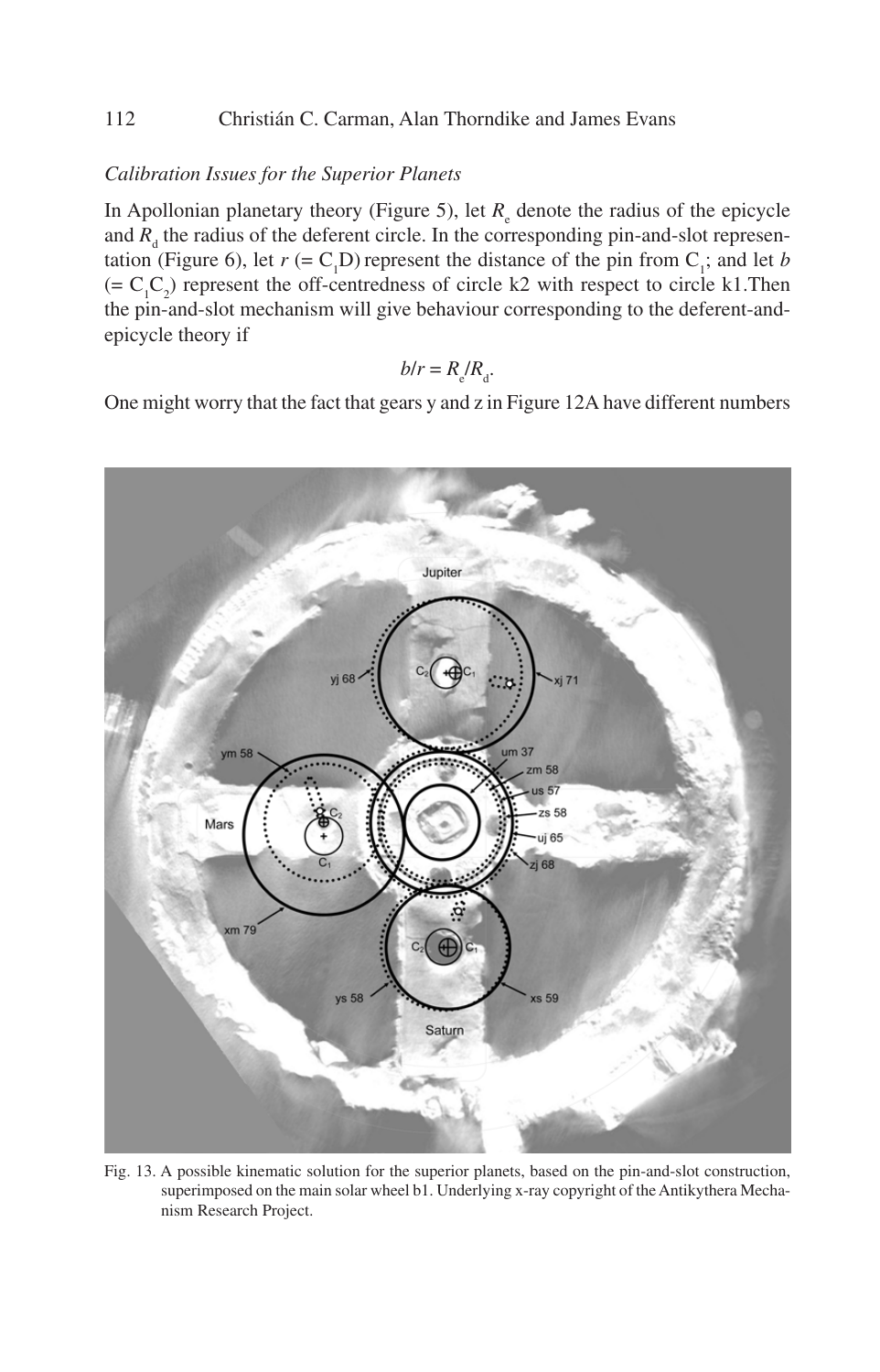## Calibration Issues for the Superior Planets

In Apollonian planetary theory (Figure 5), let  $R_{\rho}$  denote the radius of the epicycle and  $R_d$  the radius of the deferent circle. In the corresponding pin-and-slot representation (Figure 6), let  $r (= C_1D)$  represent the distance of the pin from C<sub>1</sub>; and let b  $(= C<sub>1</sub> C<sub>2</sub>)$  represent the off-centredness of circle k2 with respect to circle k1. Then the pin-and-slot mechanism will give behaviour corresponding to the deferent-andepicycle theory if

$$
b/r = R/R
$$

One might worry that the fact that gears y and z in Figure 12A have different numbers



Fig. 13. A possible kinematic solution for the superior planets, based on the pin-and-slot construction, superimposed on the main solar wheel b1. Underlying x-ray copyright of the Antikythera Mechanism Research Project.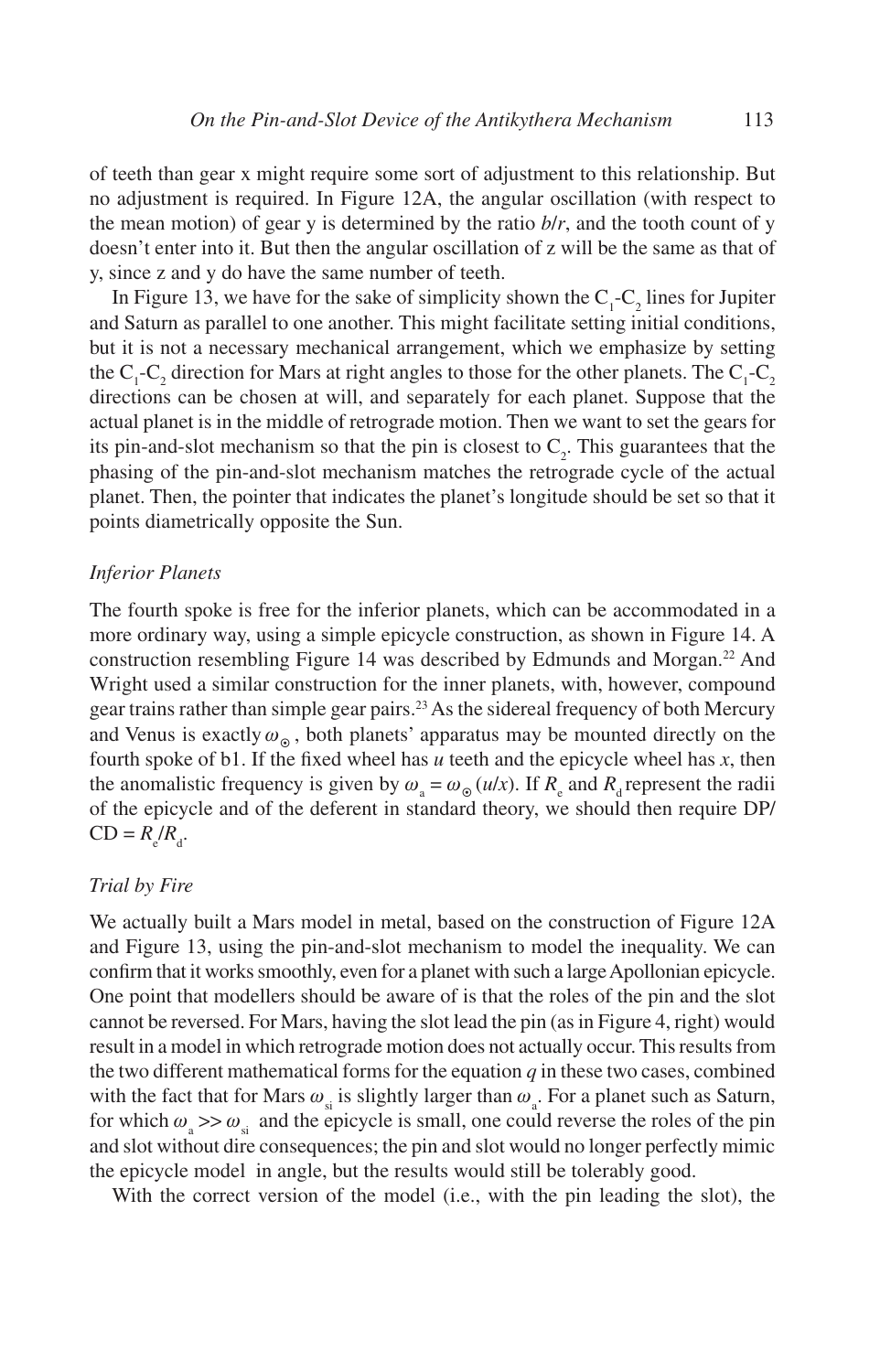of teeth than gear x might require some sort of adjustment to this relationship. But no adjustment is required. In Figure 12A, the angular oscillation (with respect to the mean motion) of gear y is determined by the ratio  $blr$ , and the tooth count of y doesn't enter into it. But then the angular oscillation of z will be the same as that of y, since z and y do have the same number of teeth.

In Figure 13, we have for the sake of simplicity shown the  $C_1$ - $C_2$  lines for Jupiter and Saturn as parallel to one another. This might facilitate setting initial conditions, but it is not a necessary mechanical arrangement, which we emphasize by setting the  $C_1$ -C<sub>2</sub> direction for Mars at right angles to those for the other planets. The  $C_1$ -C<sub>2</sub> directions can be chosen at will, and separately for each planet. Suppose that the actual planet is in the middle of retrograde motion. Then we want to set the gears for its pin-and-slot mechanism so that the pin is closest to  $C<sub>2</sub>$ . This guarantees that the phasing of the pin-and-slot mechanism matches the retrograde cycle of the actual planet. Then, the pointer that indicates the planet's longitude should be set so that it points diametrically opposite the Sun.

#### **Inferior Planets**

The fourth spoke is free for the inferior planets, which can be accommodated in a more ordinary way, using a simple epicycle construction, as shown in Figure 14. A construction resembling Figure 14 was described by Edmunds and Morgan.<sup>22</sup> And Wright used a similar construction for the inner planets, with, however, compound gear trains rather than simple gear pairs.<sup>23</sup> As the sidereal frequency of both Mercury and Venus is exactly  $\omega_{\alpha}$ , both planets' apparatus may be mounted directly on the fourth spoke of  $b1$ . If the fixed wheel has  $u$  teeth and the epicycle wheel has  $x$ , then the anomalistic frequency is given by  $\omega_0 = \omega_0(u/x)$ . If  $R_a$  and  $R_a$  represent the radii of the epicycle and of the deferent in standard theory, we should then require DP/  $CD = R/R<sub>a</sub>$ .

### Trial by Fire

We actually built a Mars model in metal, based on the construction of Figure 12A and Figure 13, using the pin-and-slot mechanism to model the inequality. We can confirm that it works smoothly, even for a planet with such a large Apollonian epicycle. One point that modellers should be aware of is that the roles of the pin and the slot cannot be reversed. For Mars, having the slot lead the pin (as in Figure 4, right) would result in a model in which retrograde motion does not actually occur. This results from the two different mathematical forms for the equation  $q$  in these two cases, combined with the fact that for Mars  $\omega_{\perp}$  is slightly larger than  $\omega_{\perp}$ . For a planet such as Saturn, for which  $\omega_{\gamma} >> \omega_{\gamma}$  and the epicycle is small, one could reverse the roles of the pin and slot without dire consequences; the pin and slot would no longer perfectly mimic the epicycle model in angle, but the results would still be tolerably good.

With the correct version of the model (i.e., with the pin leading the slot), the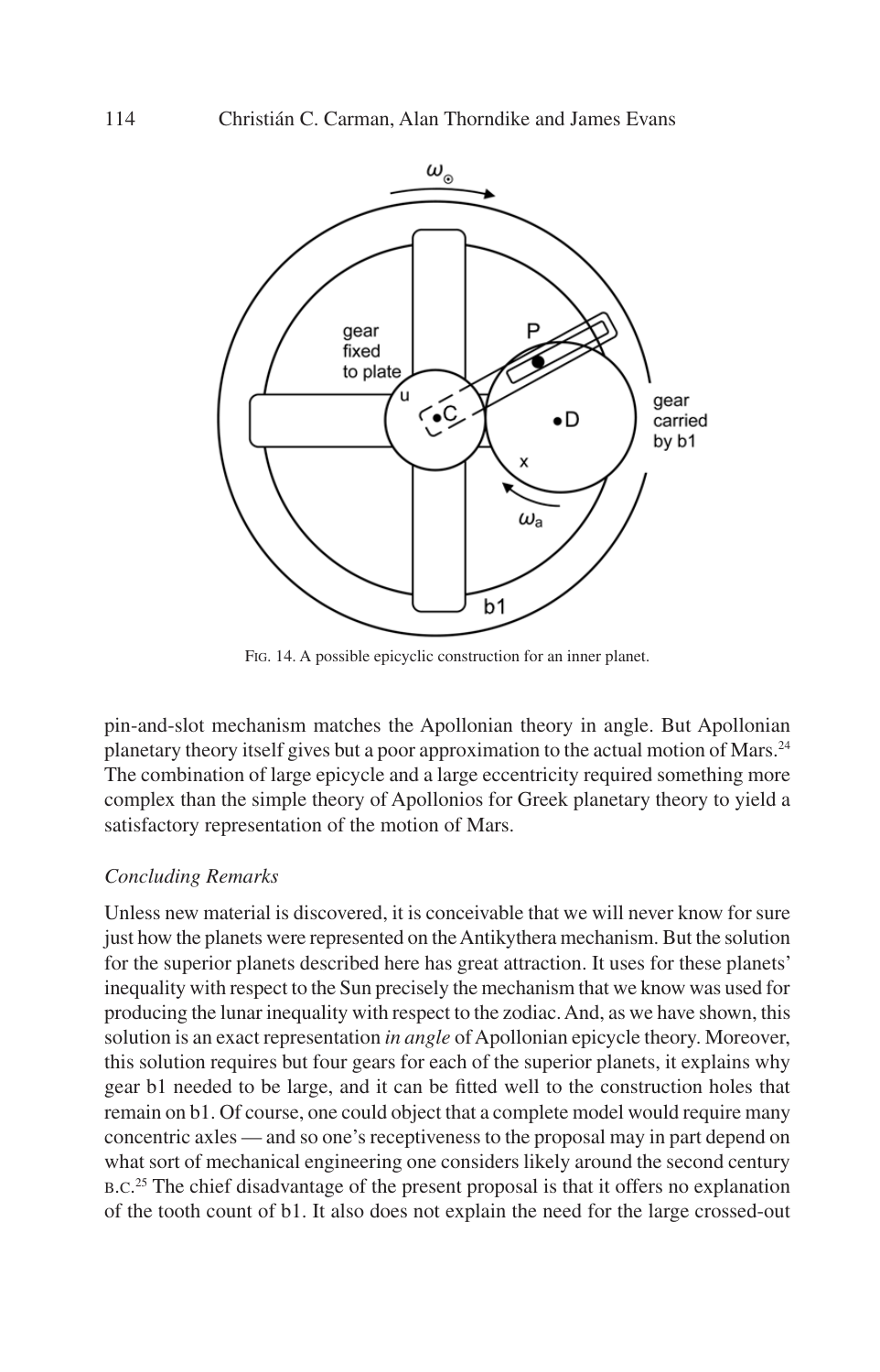

FIG. 14. A possible epicyclic construction for an inner planet.

pin-and-slot mechanism matches the Apollonian theory in angle. But Apollonian planetary theory itself gives but a poor approximation to the actual motion of Mars.<sup>24</sup> The combination of large epicycle and a large eccentricity required something more complex than the simple theory of Apollonios for Greek planetary theory to yield a satisfactory representation of the motion of Mars.

# **Concluding Remarks**

Unless new material is discovered, it is conceivable that we will never know for sure just how the planets were represented on the Antikythera mechanism. But the solution for the superior planets described here has great attraction. It uses for these planets' inequality with respect to the Sun precisely the mechanism that we know was used for producing the lunar inequality with respect to the zodiac. And, as we have shown, this solution is an exact representation in angle of Apollonian epicycle theory. Moreover, this solution requires but four gears for each of the superior planets, it explains why gear b1 needed to be large, and it can be fitted well to the construction holes that remain on b1. Of course, one could object that a complete model would require many concentric axles — and so one's receptiveness to the proposal may in part depend on what sort of mechanical engineering one considers likely around the second century B.C.<sup>25</sup> The chief disadvantage of the present proposal is that it offers no explanation of the tooth count of b1. It also does not explain the need for the large crossed-out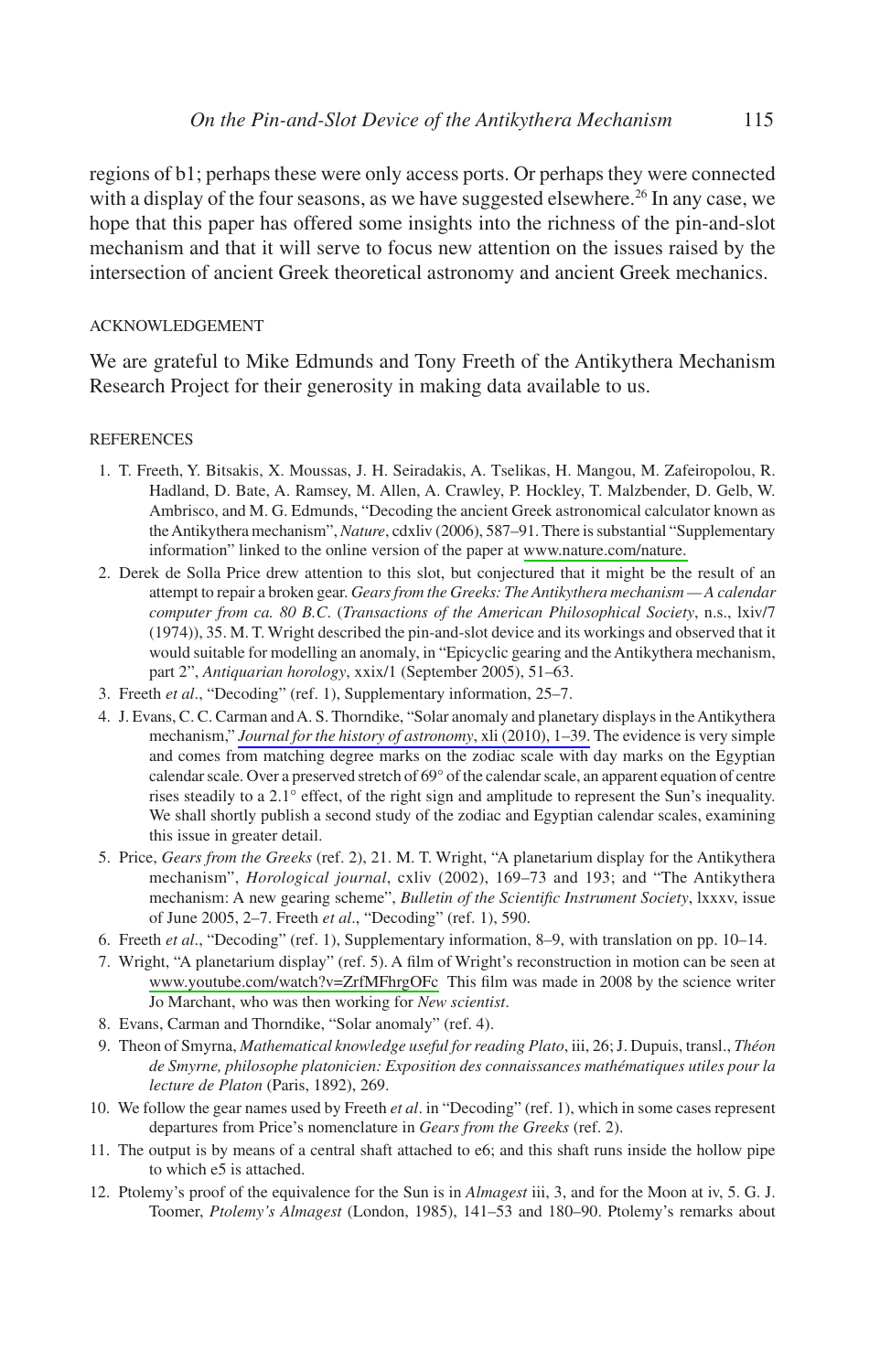regions of b1; perhaps these were only access ports. Or perhaps they were connected with a display of the four seasons, as we have suggested elsewhere.<sup>26</sup> In any case, we hope that this paper has offered some insights into the richness of the pin-and-slot mechanism and that it will serve to focus new attention on the issues raised by the intersection of ancient Greek theoretical astronomy and ancient Greek mechanics.

#### **ACKNOWLEDGEMENT**

We are grateful to Mike Edmunds and Tony Freeth of the Antikythera Mechanism Research Project for their generosity in making data available to us.

#### **REFERENCES**

- 1. T. Freeth, Y. Bitsakis, X. Moussas, J. H. Seiradakis, A. Tselikas, H. Mangou, M. Zafeiropolou, R. Hadland, D. Bate, A. Ramsey, M. Allen, A. Crawley, P. Hockley, T. Malzbender, D. Gelb, W. Ambrisco, and M. G. Edmunds, "Decoding the ancient Greek astronomical calculator known as the Antikythera mechanism", Nature, cdxliv (2006), 587–91. There is substantial "Supplementary information" linked to the online version of the paper at www.nature.com/nature.
- 2. Derek de Solla Price drew attention to this slot, but conjectured that it might be the result of an attempt to repair a broken gear. Gears from the Greeks: The Antikythera mechanism — A calendar computer from ca. 80 B.C. (Transactions of the American Philosophical Society, n.s., 1xiv/7 (1974)), 35. M. T. Wright described the pin-and-slot device and its workings and observed that it would suitable for modelling an anomaly, in "Epicyclic gearing and the Antikythera mechanism, part 2", Antiquarian horology, xxix/1 (September 2005), 51-63.
- 3. Freeth et al., "Decoding" (ref. 1), Supplementary information, 25–7.
- 4. J. Evans, C. C. Carman and A. S. Thorndike, "Solar anomaly and planetary displays in the Antikythera mechanism," Journal for the history of astronomy, xli (2010), 1-39. The evidence is very simple and comes from matching degree marks on the zodiac scale with day marks on the Egyptian calendar scale. Over a preserved stretch of 69° of the calendar scale, an apparent equation of centre rises steadily to a 2.1° effect, of the right sign and amplitude to represent the Sun's inequality. We shall shortly publish a second study of the zodiac and Egyptian calendar scales, examining this issue in greater detail.
- 5. Price, Gears from the Greeks (ref. 2), 21. M. T. Wright, "A planetarium display for the Antikythera mechanism", *Horological journal*, cxliv (2002), 169-73 and 193; and "The Antikythera mechanism: A new gearing scheme", Bulletin of the Scientific Instrument Society, Ixxxv, issue of June 2005, 2-7. Freeth et al., "Decoding" (ref. 1), 590.
- 6. Freeth et al., "Decoding" (ref. 1), Supplementary information, 8–9, with translation on pp. 10–14.
- 7. Wright, "A planetarium display" (ref. 5). A film of Wright's reconstruction in motion can be seen at www.youtube.com/watch?v=ZrfMFhrgOFc This film was made in 2008 by the science writer Jo Marchant, who was then working for New scientist.
- 8. Evans, Carman and Thorndike, "Solar anomaly" (ref. 4).
- 9. Theon of Smyrna, Mathematical knowledge useful for reading Plato, iii, 26; J. Dupuis, transl., Théon de Smyrne, philosophe platonicien: Exposition des connaissances mathématiques utiles pour la lecture de Platon (Paris, 1892), 269.
- 10. We follow the gear names used by Freeth et al. in "Decoding" (ref. 1), which in some cases represent departures from Price's nomenclature in *Gears from the Greeks* (ref. 2).
- 11. The output is by means of a central shaft attached to e6; and this shaft runs inside the hollow pipe to which e5 is attached.
- 12. Ptolemy's proof of the equivalence for the Sun is in *Almagest* iii, 3, and for the Moon at iv, 5. G. J. Toomer, Ptolemy's Almagest (London, 1985), 141-53 and 180-90. Ptolemy's remarks about